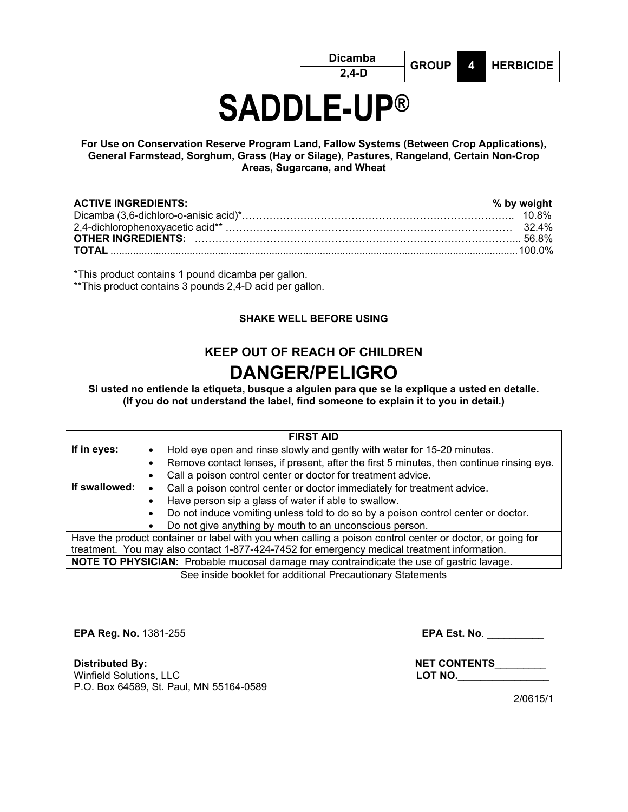# **SADDLE-UP®**

**For Use on Conservation Reserve Program Land, Fallow Systems (Between Crop Applications), General Farmstead, Sorghum, Grass (Hay or Silage), Pastures, Rangeland, Certain Non-Crop Areas, Sugarcane, and Wheat** 

| <b>ACTIVE INGREDIENTS:</b> | % by weight |
|----------------------------|-------------|
|                            |             |
|                            |             |

\*This product contains 1 pound dicamba per gallon.

\*\*This product contains 3 pounds 2,4-D acid per gallon.

#### **SHAKE WELL BEFORE USING**

## **KEEP OUT OF REACH OF CHILDREN DANGER/PELIGRO**

**Si usted no entiende la etiqueta, busque a alguien para que se la explique a usted en detalle. (If you do not understand the label, find someone to explain it to you in detail.)**

| <b>FIRST AID</b>                                                                                          |                                                                                                |  |  |  |  |
|-----------------------------------------------------------------------------------------------------------|------------------------------------------------------------------------------------------------|--|--|--|--|
| If in eyes:                                                                                               | Hold eye open and rinse slowly and gently with water for 15-20 minutes.<br>٠                   |  |  |  |  |
|                                                                                                           | Remove contact lenses, if present, after the first 5 minutes, then continue rinsing eye.<br>с  |  |  |  |  |
|                                                                                                           | Call a poison control center or doctor for treatment advice.                                   |  |  |  |  |
| If swallowed:                                                                                             | Call a poison control center or doctor immediately for treatment advice.                       |  |  |  |  |
|                                                                                                           | Have person sip a glass of water if able to swallow.                                           |  |  |  |  |
|                                                                                                           | Do not induce vomiting unless told to do so by a poison control center or doctor.<br>$\bullet$ |  |  |  |  |
|                                                                                                           | Do not give anything by mouth to an unconscious person.                                        |  |  |  |  |
| Have the product container or label with you when calling a poison control center or doctor, or going for |                                                                                                |  |  |  |  |
|                                                                                                           | treatment. You may also contact 1-877-424-7452 for emergency medical treatment information.    |  |  |  |  |
|                                                                                                           | NOTE TO PHYSICIAN: Probable mucosal damage may contraindicate the use of gastric lavage.       |  |  |  |  |
|                                                                                                           | See inside booklet for additional Precautionary Statements                                     |  |  |  |  |

**EPA Reg. No.** 1381-255 **EPA Est. No**. \_\_\_\_\_\_\_\_\_\_

**Distributed By: NET CONTENTS**\_\_\_\_\_\_\_\_\_ **Winfield Solutions, LLC** P.O. Box 64589, St. Paul, MN 55164-0589

2/0615/1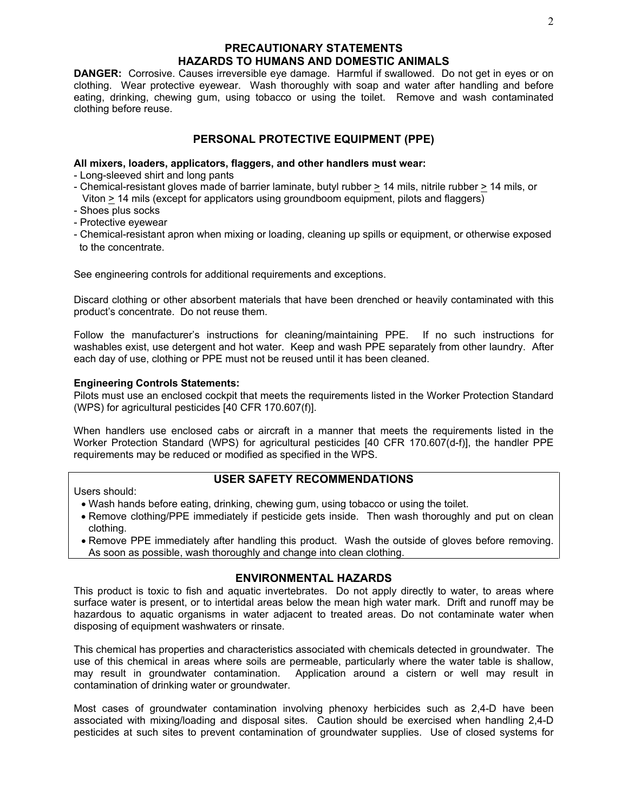## **PRECAUTIONARY STATEMENTS HAZARDS TO HUMANS AND DOMESTIC ANIMALS**

**DANGER:** Corrosive. Causes irreversible eye damage. Harmful if swallowed. Do not get in eyes or on clothing. Wear protective eyewear. Wash thoroughly with soap and water after handling and before eating, drinking, chewing gum, using tobacco or using the toilet. Remove and wash contaminated clothing before reuse.

## **PERSONAL PROTECTIVE EQUIPMENT (PPE)**

#### **All mixers, loaders, applicators, flaggers, and other handlers must wear:**

- Long-sleeved shirt and long pants
- Chemical-resistant gloves made of barrier laminate, butyl rubber > 14 mils, nitrile rubber > 14 mils, or Viton > 14 mils (except for applicators using groundboom equipment, pilots and flaggers)
- Shoes plus socks
- Protective eyewear
- Chemical-resistant apron when mixing or loading, cleaning up spills or equipment, or otherwise exposed to the concentrate.

See engineering controls for additional requirements and exceptions.

Discard clothing or other absorbent materials that have been drenched or heavily contaminated with this product's concentrate. Do not reuse them.

Follow the manufacturer's instructions for cleaning/maintaining PPE. If no such instructions for washables exist, use detergent and hot water. Keep and wash PPE separately from other laundry. After each day of use, clothing or PPE must not be reused until it has been cleaned.

#### **Engineering Controls Statements:**

Pilots must use an enclosed cockpit that meets the requirements listed in the Worker Protection Standard (WPS) for agricultural pesticides [40 CFR 170.607(f)].

When handlers use enclosed cabs or aircraft in a manner that meets the requirements listed in the Worker Protection Standard (WPS) for agricultural pesticides [40 CFR 170.607(d-f)], the handler PPE requirements may be reduced or modified as specified in the WPS.

Users should:

## **USER SAFETY RECOMMENDATIONS**

- Wash hands before eating, drinking, chewing gum, using tobacco or using the toilet.
- Remove clothing/PPE immediately if pesticide gets inside. Then wash thoroughly and put on clean clothing.
- Remove PPE immediately after handling this product. Wash the outside of gloves before removing. As soon as possible, wash thoroughly and change into clean clothing.

#### **ENVIRONMENTAL HAZARDS**

This product is toxic to fish and aquatic invertebrates. Do not apply directly to water, to areas where surface water is present, or to intertidal areas below the mean high water mark. Drift and runoff may be hazardous to aquatic organisms in water adjacent to treated areas. Do not contaminate water when disposing of equipment washwaters or rinsate.

This chemical has properties and characteristics associated with chemicals detected in groundwater. The use of this chemical in areas where soils are permeable, particularly where the water table is shallow, may result in groundwater contamination. Application around a cistern or well may result in contamination of drinking water or groundwater.

Most cases of groundwater contamination involving phenoxy herbicides such as 2,4-D have been associated with mixing/loading and disposal sites. Caution should be exercised when handling 2,4-D pesticides at such sites to prevent contamination of groundwater supplies. Use of closed systems for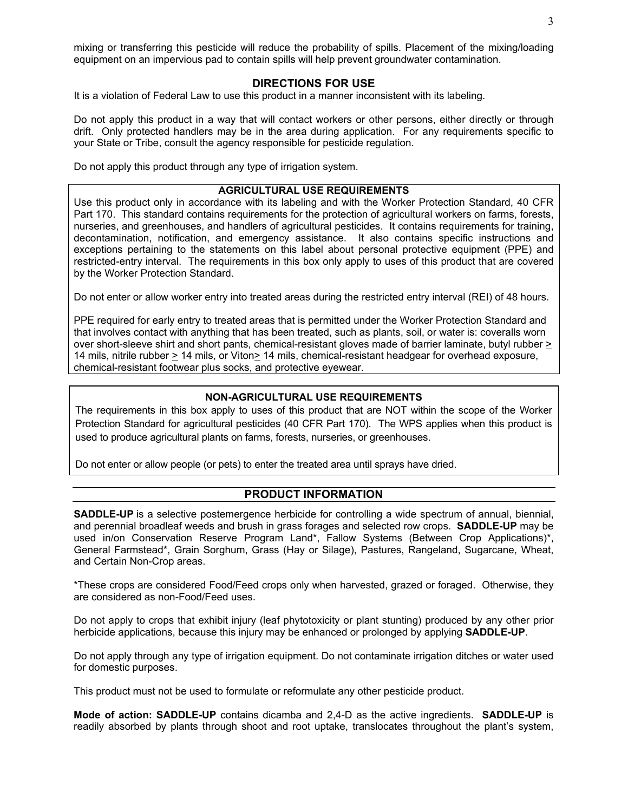mixing or transferring this pesticide will reduce the probability of spills. Placement of the mixing/loading equipment on an impervious pad to contain spills will help prevent groundwater contamination.

#### **DIRECTIONS FOR USE**

It is a violation of Federal Law to use this product in a manner inconsistent with its labeling.

Do not apply this product in a way that will contact workers or other persons, either directly or through drift. Only protected handlers may be in the area during application. For any requirements specific to your State or Tribe, consult the agency responsible for pesticide regulation.

Do not apply this product through any type of irrigation system.

#### **AGRICULTURAL USE REQUIREMENTS**

Use this product only in accordance with its labeling and with the Worker Protection Standard, 40 CFR Part 170. This standard contains requirements for the protection of agricultural workers on farms, forests, nurseries, and greenhouses, and handlers of agricultural pesticides. It contains requirements for training, decontamination, notification, and emergency assistance. It also contains specific instructions and exceptions pertaining to the statements on this label about personal protective equipment (PPE) and restricted-entry interval. The requirements in this box only apply to uses of this product that are covered by the Worker Protection Standard.

Do not enter or allow worker entry into treated areas during the restricted entry interval (REI) of 48 hours.

PPE required for early entry to treated areas that is permitted under the Worker Protection Standard and that involves contact with anything that has been treated, such as plants, soil, or water is: coveralls worn over short-sleeve shirt and short pants, chemical-resistant gloves made of barrier laminate, butyl rubber > 14 mils, nitrile rubber > 14 mils, or Viton> 14 mils, chemical-resistant headgear for overhead exposure, chemical-resistant footwear plus socks, and protective eyewear.

#### **NON-AGRICULTURAL USE REQUIREMENTS**

The requirements in this box apply to uses of this product that are NOT within the scope of the Worker Protection Standard for agricultural pesticides (40 CFR Part 170). The WPS applies when this product is used to produce agricultural plants on farms, forests, nurseries, or greenhouses.

Do not enter or allow people (or pets) to enter the treated area until sprays have dried.

#### **PRODUCT INFORMATION**

**SADDLE-UP** is a selective postemergence herbicide for controlling a wide spectrum of annual, biennial, and perennial broadleaf weeds and brush in grass forages and selected row crops. **SADDLE-UP** may be used in/on Conservation Reserve Program Land\*, Fallow Systems (Between Crop Applications)\*, General Farmstead\*, Grain Sorghum, Grass (Hay or Silage), Pastures, Rangeland, Sugarcane, Wheat, and Certain Non-Crop areas.

\*These crops are considered Food/Feed crops only when harvested, grazed or foraged. Otherwise, they are considered as non-Food/Feed uses.

Do not apply to crops that exhibit injury (leaf phytotoxicity or plant stunting) produced by any other prior herbicide applications, because this injury may be enhanced or prolonged by applying **SADDLE-UP**.

Do not apply through any type of irrigation equipment. Do not contaminate irrigation ditches or water used for domestic purposes.

This product must not be used to formulate or reformulate any other pesticide product.

**Mode of action: SADDLE-UP** contains dicamba and 2,4-D as the active ingredients. **SADDLE-UP** is readily absorbed by plants through shoot and root uptake, translocates throughout the plant's system,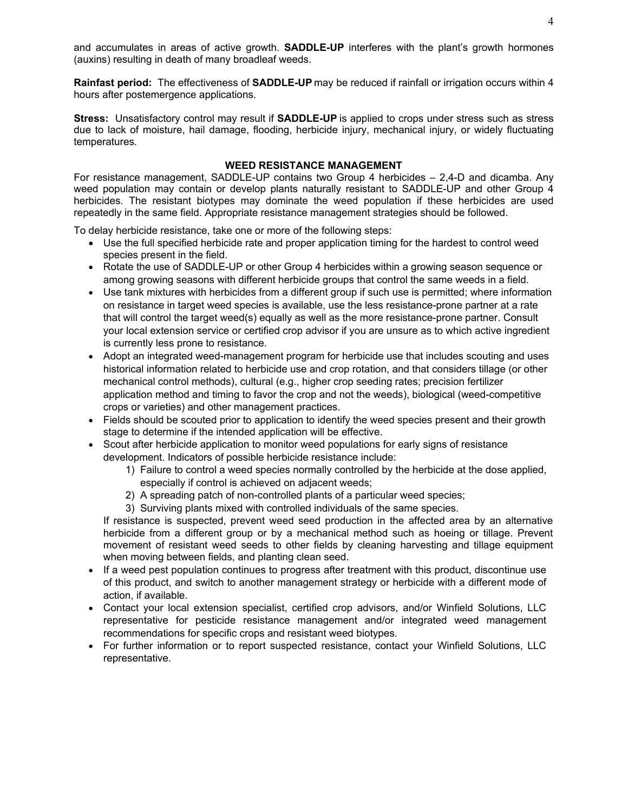and accumulates in areas of active growth. **SADDLE-UP** interferes with the plant's growth hormones (auxins) resulting in death of many broadleaf weeds.

**Rainfast period:** The effectiveness of **SADDLE-UP** may be reduced if rainfall or irrigation occurs within 4 hours after postemergence applications.

**Stress:** Unsatisfactory control may result if **SADDLE-UP** is applied to crops under stress such as stress due to lack of moisture, hail damage, flooding, herbicide injury, mechanical injury, or widely fluctuating temperatures.

#### **WEED RESISTANCE MANAGEMENT**

For resistance management, SADDLE-UP contains two Group 4 herbicides – 2,4-D and dicamba. Any weed population may contain or develop plants naturally resistant to SADDLE-UP and other Group 4 herbicides. The resistant biotypes may dominate the weed population if these herbicides are used repeatedly in the same field. Appropriate resistance management strategies should be followed.

To delay herbicide resistance, take one or more of the following steps:

- Use the full specified herbicide rate and proper application timing for the hardest to control weed species present in the field.
- Rotate the use of SADDLE-UP or other Group 4 herbicides within a growing season sequence or among growing seasons with different herbicide groups that control the same weeds in a field.
- Use tank mixtures with herbicides from a different group if such use is permitted; where information on resistance in target weed species is available, use the less resistance-prone partner at a rate that will control the target weed(s) equally as well as the more resistance-prone partner. Consult your local extension service or certified crop advisor if you are unsure as to which active ingredient is currently less prone to resistance.
- Adopt an integrated weed-management program for herbicide use that includes scouting and uses historical information related to herbicide use and crop rotation, and that considers tillage (or other mechanical control methods), cultural (e.g., higher crop seeding rates; precision fertilizer application method and timing to favor the crop and not the weeds), biological (weed-competitive crops or varieties) and other management practices.
- Fields should be scouted prior to application to identify the weed species present and their growth stage to determine if the intended application will be effective.
- Scout after herbicide application to monitor weed populations for early signs of resistance development. Indicators of possible herbicide resistance include:
	- 1) Failure to control a weed species normally controlled by the herbicide at the dose applied, especially if control is achieved on adjacent weeds;
	- 2) A spreading patch of non-controlled plants of a particular weed species;
	- 3) Surviving plants mixed with controlled individuals of the same species.

If resistance is suspected, prevent weed seed production in the affected area by an alternative herbicide from a different group or by a mechanical method such as hoeing or tillage. Prevent movement of resistant weed seeds to other fields by cleaning harvesting and tillage equipment when moving between fields, and planting clean seed.

- If a weed pest population continues to progress after treatment with this product, discontinue use of this product, and switch to another management strategy or herbicide with a different mode of action, if available.
- Contact your local extension specialist, certified crop advisors, and/or Winfield Solutions, LLC representative for pesticide resistance management and/or integrated weed management recommendations for specific crops and resistant weed biotypes.
- For further information or to report suspected resistance, contact your Winfield Solutions, LLC representative.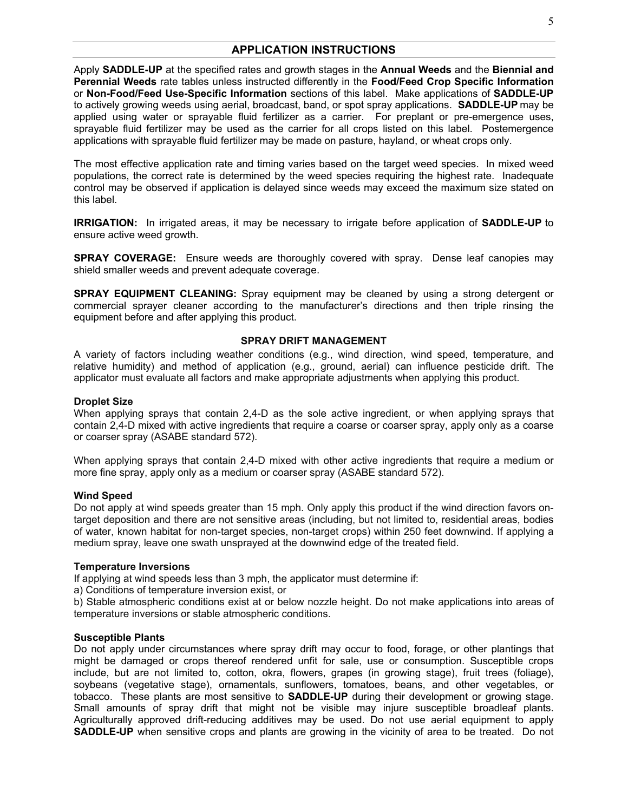#### **APPLICATION INSTRUCTIONS**

Apply **SADDLE-UP** at the specified rates and growth stages in the **Annual Weeds** and the **Biennial and Perennial Weeds** rate tables unless instructed differently in the **Food/Feed Crop Specific Information** or **Non-Food/Feed Use-Specific Information** sections of this label. Make applications of **SADDLE-UP** to actively growing weeds using aerial, broadcast, band, or spot spray applications. **SADDLE-UP** may be applied using water or sprayable fluid fertilizer as a carrier. For preplant or pre-emergence uses, sprayable fluid fertilizer may be used as the carrier for all crops listed on this label. Postemergence applications with sprayable fluid fertilizer may be made on pasture, hayland, or wheat crops only.

The most effective application rate and timing varies based on the target weed species. In mixed weed populations, the correct rate is determined by the weed species requiring the highest rate. Inadequate control may be observed if application is delayed since weeds may exceed the maximum size stated on this label.

**IRRIGATION:** In irrigated areas, it may be necessary to irrigate before application of **SADDLE-UP** to ensure active weed growth.

**SPRAY COVERAGE:** Ensure weeds are thoroughly covered with spray. Dense leaf canopies may shield smaller weeds and prevent adequate coverage.

**SPRAY EQUIPMENT CLEANING:** Spray equipment may be cleaned by using a strong detergent or commercial sprayer cleaner according to the manufacturer's directions and then triple rinsing the equipment before and after applying this product.

#### **SPRAY DRIFT MANAGEMENT**

A variety of factors including weather conditions (e.g., wind direction, wind speed, temperature, and relative humidity) and method of application (e.g., ground, aerial) can influence pesticide drift. The applicator must evaluate all factors and make appropriate adjustments when applying this product.

#### **Droplet Size**

When applying sprays that contain 2,4-D as the sole active ingredient, or when applying sprays that contain 2,4-D mixed with active ingredients that require a coarse or coarser spray, apply only as a coarse or coarser spray (ASABE standard 572).

When applying sprays that contain 2,4-D mixed with other active ingredients that require a medium or more fine spray, apply only as a medium or coarser spray (ASABE standard 572).

#### **Wind Speed**

Do not apply at wind speeds greater than 15 mph. Only apply this product if the wind direction favors ontarget deposition and there are not sensitive areas (including, but not limited to, residential areas, bodies of water, known habitat for non-target species, non-target crops) within 250 feet downwind. If applying a medium spray, leave one swath unsprayed at the downwind edge of the treated field.

#### **Temperature Inversions**

If applying at wind speeds less than 3 mph, the applicator must determine if:

a) Conditions of temperature inversion exist, or

b) Stable atmospheric conditions exist at or below nozzle height. Do not make applications into areas of temperature inversions or stable atmospheric conditions.

#### **Susceptible Plants**

Do not apply under circumstances where spray drift may occur to food, forage, or other plantings that might be damaged or crops thereof rendered unfit for sale, use or consumption. Susceptible crops include, but are not limited to, cotton, okra, flowers, grapes (in growing stage), fruit trees (foliage), soybeans (vegetative stage), ornamentals, sunflowers, tomatoes, beans, and other vegetables, or tobacco. These plants are most sensitive to **SADDLE-UP** during their development or growing stage. Small amounts of spray drift that might not be visible may injure susceptible broadleaf plants. Agriculturally approved drift-reducing additives may be used. Do not use aerial equipment to apply **SADDLE-UP** when sensitive crops and plants are growing in the vicinity of area to be treated. Do not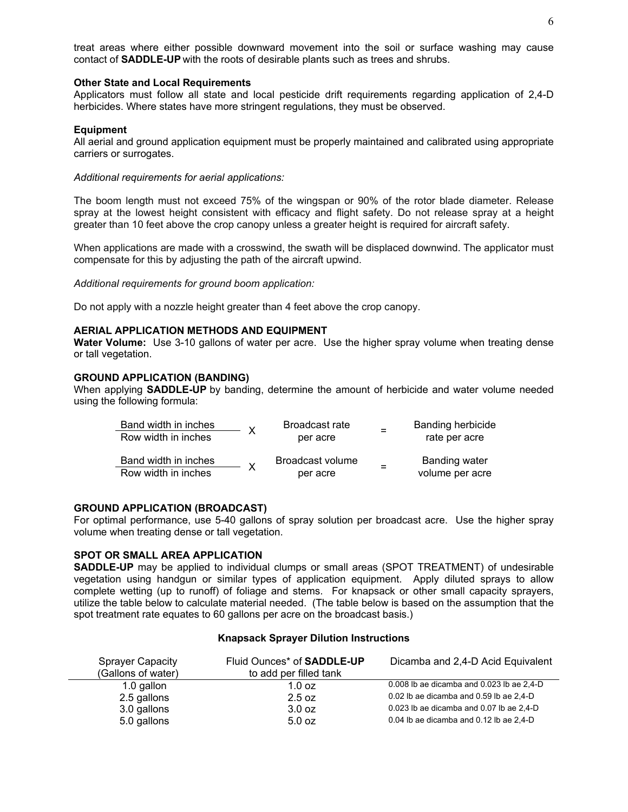treat areas where either possible downward movement into the soil or surface washing may cause contact of **SADDLE-UP** with the roots of desirable plants such as trees and shrubs.

#### **Other State and Local Requirements**

Applicators must follow all state and local pesticide drift requirements regarding application of 2,4-D herbicides. Where states have more stringent regulations, they must be observed.

#### **Equipment**

All aerial and ground application equipment must be properly maintained and calibrated using appropriate carriers or surrogates.

*Additional requirements for aerial applications:*

The boom length must not exceed 75% of the wingspan or 90% of the rotor blade diameter. Release spray at the lowest height consistent with efficacy and flight safety. Do not release spray at a height greater than 10 feet above the crop canopy unless a greater height is required for aircraft safety.

When applications are made with a crosswind, the swath will be displaced downwind. The applicator must compensate for this by adjusting the path of the aircraft upwind.

*Additional requirements for ground boom application:*

Do not apply with a nozzle height greater than 4 feet above the crop canopy.

#### **AERIAL APPLICATION METHODS AND EQUIPMENT**

**Water Volume:** Use 3-10 gallons of water per acre. Use the higher spray volume when treating dense or tall vegetation.

#### **GROUND APPLICATION (BANDING)**

When applying **SADDLE-UP** by banding, determine the amount of herbicide and water volume needed using the following formula:

| Band width in inches | - X | Broadcast rate   |  | <b>Banding herbicide</b> |  |
|----------------------|-----|------------------|--|--------------------------|--|
| Row width in inches  |     | per acre         |  | rate per acre            |  |
| Band width in inches |     | Broadcast volume |  | Banding water            |  |
| Row width in inches  |     | per acre         |  | volume per acre          |  |

#### **GROUND APPLICATION (BROADCAST)**

For optimal performance, use 5-40 gallons of spray solution per broadcast acre. Use the higher spray volume when treating dense or tall vegetation.

#### **SPOT OR SMALL AREA APPLICATION**

**SADDLE-UP** may be applied to individual clumps or small areas (SPOT TREATMENT) of undesirable vegetation using handgun or similar types of application equipment. Apply diluted sprays to allow complete wetting (up to runoff) of foliage and stems. For knapsack or other small capacity sprayers, utilize the table below to calculate material needed. (The table below is based on the assumption that the spot treatment rate equates to 60 gallons per acre on the broadcast basis.)

#### **Knapsack Sprayer Dilution Instructions**

| <b>Sprayer Capacity</b> | Fluid Ounces* of <b>SADDLE-UP</b> | Dicamba and 2,4-D Acid Equivalent         |
|-------------------------|-----------------------------------|-------------------------------------------|
| (Gallons of water)      | to add per filled tank            |                                           |
| 1.0 gallon              | $1.0$ oz                          | 0.008 lb ae dicamba and 0.023 lb ae 2,4-D |
| 2.5 gallons             | 2.5 oz                            | 0.02 lb ae dicamba and 0.59 lb ae 2,4-D   |
| 3.0 gallons             | 3.0 oz                            | 0.023 lb ae dicamba and 0.07 lb ae 2,4-D  |
| 5.0 gallons             | 5.0 oz                            | 0.04 lb ae dicamba and 0.12 lb ae 2,4-D   |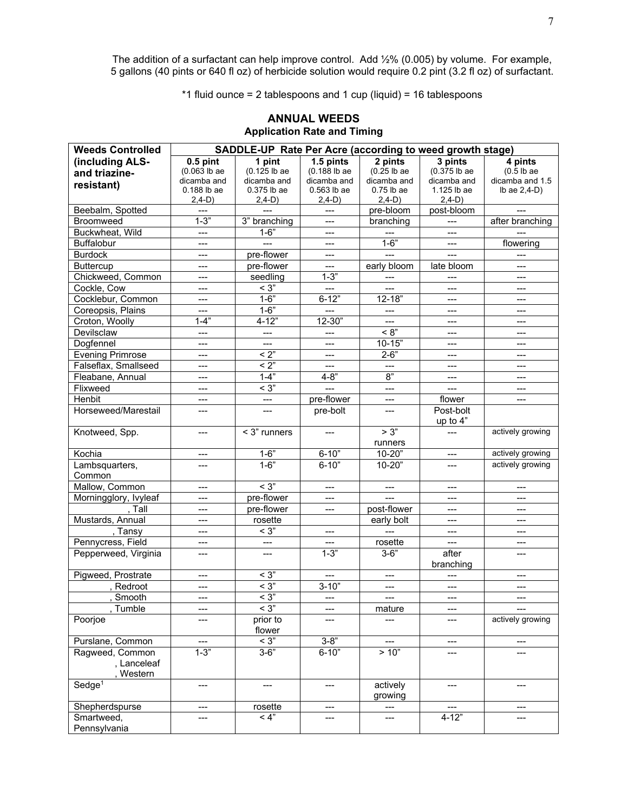The addition of a surfactant can help improve control.  $\,\mathrm{Add}\, \mathit{''_2\%}\,$  (0.005) by volume. For example, 5 gallons (40 pints or 640 fl oz) of herbicide solution would require 0.2 pint (3.2 fl oz) of surfactant.

\*1 fluid ounce = 2 tablespoons and 1 cup (liquid) = 16 tablespoons

| <b>Weeds Controlled</b> | SADDLE-UP Rate Per Acre (according to weed growth stage) |                               |                              |                         |                               |                            |
|-------------------------|----------------------------------------------------------|-------------------------------|------------------------------|-------------------------|-------------------------------|----------------------------|
| (including ALS-         | $0.5$ pint                                               | 1 pint                        | $1.5$ pints                  | 2 pints                 | 3 pints                       | 4 pints                    |
| and triazine-           | $(0.063$ lb ae                                           | $(0.125$ lb ae                | (0.188 lb ae                 | $(0.25$ lb ae           | $(0.375)$ lb ae               | $(0.5$ lb ae               |
| resistant)              | dicamba and                                              | dicamba and                   | dicamba and                  | dicamba and             | dicamba and                   | dicamba and 1.5            |
|                         | 0.188 lb ae                                              | $0.375$ lb ae                 | $0.563$ lb ae                | $0.75$ lb ae            | 1.125 lb ae                   | Ib ae $2,4-D$ )            |
|                         | $2,4-D)$                                                 | $2,4-D)$                      | $2,4-D)$                     | $2,4-D$ )               | $2,4-D)$                      |                            |
| Beebalm, Spotted        | ---                                                      |                               | $---$                        | $\overline{pre}$ -bloom | post-bloom                    | $---$                      |
| Broomweed               | $1 - 3$                                                  | $3"$ branching                | $---$                        | branching               | $---$                         | after branching            |
| Buckwheat, Wild         | ---                                                      | $1 - 6"$                      | $---$                        |                         | $---$                         |                            |
| <b>Buffalobur</b>       | ---                                                      | ---                           | $---$                        | $1 - 6"$                | $---$                         | flowering                  |
| <b>Burdock</b>          | ---                                                      | pre-flower                    | $---$                        | $---$                   | $---$                         | $---$                      |
| <b>Buttercup</b>        | ---                                                      | pre-flower                    | ---                          | early bloom             | late bloom                    |                            |
| Chickweed, Common       | ---                                                      | seedling                      | $1 - 3$                      |                         | $---$                         | $---$                      |
| Cockle, Cow             | ---                                                      | $<$ 3"                        | $---$                        | $---$                   | $---$                         | $\qquad \qquad \cdots$     |
| Cocklebur, Common       | ---                                                      | $1 - 6"$                      | $6 - 12"$                    | $12 - 18"$              | ---                           | $\qquad \qquad \cdots$     |
| Coreopsis, Plains       | ---                                                      | $1 - 6"$                      | $\overline{a}$               | $---$                   | ---                           | $---$                      |
| Croton, Woolly          | $1 - 4"$                                                 | $4 - 12"$                     | 12-30"                       | $---$                   | ---                           | ---                        |
| Devilsclaw              | $---$                                                    | $\overline{a}$                | $---$                        | < 8"                    | $---$                         | $---$                      |
| Dogfennel               | ---                                                      | ---                           | $\qquad \qquad \text{---}$   | $10 - 15"$              | $---$                         | $\qquad \qquad \text{---}$ |
| <b>Evening Primrose</b> | ---                                                      | $\overline{2}$                | $---$                        | $2 - 6"$                | ---                           | $\qquad \qquad \cdots$     |
| Falseflax, Smallseed    | ---                                                      | $< 2$ "                       | $---$                        | $---$                   | ---                           | ---                        |
| Fleabane, Annual        | $\qquad \qquad \textbf{---}$                             | $1 - 4$                       | $4 - 8"$                     | 8"                      | $---$                         | $---$                      |
| Flixweed                | $---$                                                    | $\overline{<}$ 3"             | $\overline{a}$               | $\overline{a}$          | $---$                         | $\overline{a}$             |
| Henbit                  | ---                                                      | ---                           | pre-flower                   | $---$                   | flower                        | $\overline{\phantom{a}}$   |
| Horseweed/Marestail     | ---                                                      | ---                           | pre-bolt                     | ---                     | Post-bolt                     |                            |
|                         |                                                          |                               |                              |                         | up to 4"                      |                            |
| Knotweed, Spp.          | ---                                                      | < 3" runners                  | $---$                        | > 3"                    | ---                           | actively growing           |
|                         |                                                          |                               |                              | runners                 |                               |                            |
| Kochia                  | ---                                                      | $1 - 6"$                      | $6 - 10"$                    | $10 - 20"$              | $\qquad \qquad \text{---}$    | actively growing           |
| Lambsquarters,          | ---                                                      | $1 - 6"$                      | $6 - 10"$                    | 10-20"                  | $---$                         | actively growing           |
| Common                  |                                                          |                               |                              |                         |                               |                            |
| Mallow, Common          | ---                                                      | $<$ 3"                        | $---$                        | $---$                   | $---$                         | $---$                      |
| Morningglory, Ivyleaf   | ---                                                      | pre-flower                    | $---$                        | $---$                   | ---                           | $---$                      |
| , Tall                  | ---                                                      | pre-flower                    | ---                          | post-flower             | ---                           | ---                        |
| Mustards, Annual        | ---                                                      | rosette                       |                              | early bolt              | ---                           | ---                        |
| , Tansy                 | $\qquad \qquad \textbf{---}$                             | $\overline{<}$ 3"             | $---$                        | $---$                   | ---                           | $---$                      |
| Pennycress, Field       | ---                                                      | $\qquad \qquad \qquad \qquad$ | $---$                        | rosette                 | $\qquad \qquad \qquad \qquad$ | $\qquad \qquad \cdots$     |
| Pepperweed, Virginia    | ---                                                      | ---                           | $1 - 3"$                     | $3 - 6"$                | after                         | ---                        |
|                         |                                                          |                               |                              |                         | branching                     |                            |
| Pigweed, Prostrate      | ---                                                      | $<$ 3"                        | $---$                        | ---                     | ---                           | ---                        |
| , Redroot               | ---                                                      | $<$ 3"                        | $3 - 10"$                    | $---$                   | ---                           |                            |
| , Smooth                | $---$                                                    | $\overline{<}$ 3"             | $---$                        | $\overline{a}$          | $\overline{a}$                | $\overline{a}$             |
| Tumble                  | ---                                                      | $<$ 3"                        | $---$                        | mature                  | ---                           | ---                        |
| Poorjoe                 | ---                                                      | prior to                      |                              |                         | ---                           | actively growing           |
|                         |                                                          | flower                        |                              |                         |                               |                            |
| Purslane, Common        |                                                          | $<$ 3"                        | $3 - 8"$                     |                         | ---                           | ---                        |
| Ragweed, Common         | $1 - 3$                                                  | $3 - 6"$                      | $6 - 10"$                    | > 10"                   | ---                           | ---                        |
| , Lanceleaf             |                                                          |                               |                              |                         |                               |                            |
| , Western               |                                                          |                               |                              |                         |                               |                            |
| $S$ edge <sup>1</sup>   | ---                                                      | ---                           | $---$                        | actively                | ---                           | ---                        |
|                         |                                                          |                               |                              | growing                 |                               |                            |
| Shepherdspurse          | ---                                                      | rosette                       | $\qquad \qquad \textbf{---}$ | ---                     | ---                           | ---                        |
| Smartweed,              | ---                                                      | < 4"                          | ---                          | ---                     | $4 - 12"$                     | ---                        |
| Pennsylvania            |                                                          |                               |                              |                         |                               |                            |

#### **ANNUAL WEEDS Application Rate and Timing**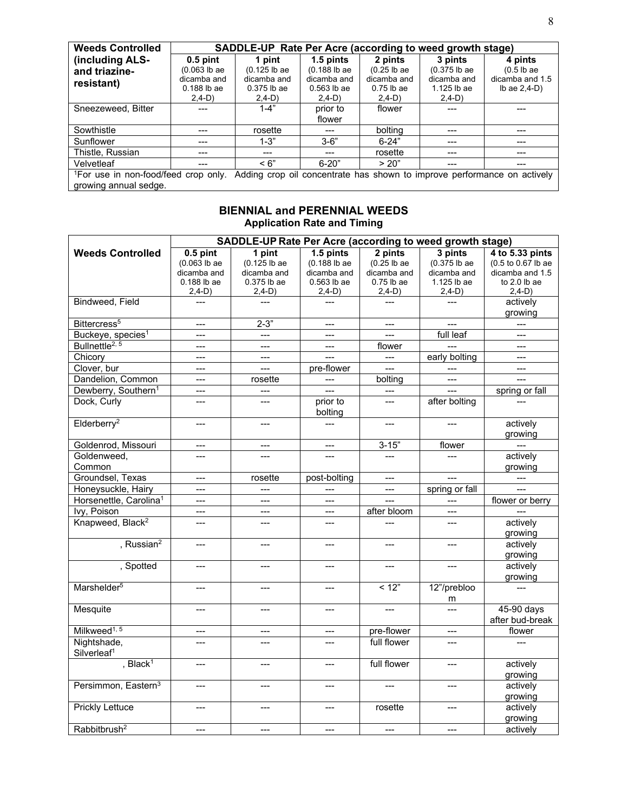| <b>Weeds Controlled</b>                                                                                                   | SADDLE-UP Rate Per Acre (according to weed growth stage) |               |                |               |                |                   |  |  |
|---------------------------------------------------------------------------------------------------------------------------|----------------------------------------------------------|---------------|----------------|---------------|----------------|-------------------|--|--|
| (including ALS-                                                                                                           | $0.5$ pint                                               | 1 pint        | 1.5 pints      | 2 pints       | 3 pints        | 4 pints           |  |  |
| and triazine-                                                                                                             | $(0.063$ lb ae                                           | (0.125 lb ae  | $(0.188$ lb ae | $(0.25$ lb ae | $(0.375$ lb ae | $(0.5$ lb ae      |  |  |
| resistant)                                                                                                                | dicamba and                                              | dicamba and   | dicamba and    | dicamba and   | dicamba and    | dicamba and 1.5   |  |  |
|                                                                                                                           | $0.188$ lb ae                                            | $0.375$ lb ae | $0.563$ lb ae  | $0.75$ lb ae  | $1.125$ lb ae  | $lb$ ae $2,4-D$ ) |  |  |
|                                                                                                                           | $2,4-D$ )                                                | $2.4-D$       | $2,4-D$ )      | $2,4-D$ )     | $2,4-D$ )      |                   |  |  |
| Sneezeweed, Bitter                                                                                                        | ---                                                      | $1 - 4"$      | prior to       | flower        |                |                   |  |  |
|                                                                                                                           |                                                          |               | flower         |               |                |                   |  |  |
| Sowthistle                                                                                                                |                                                          | rosette       |                | bolting       |                |                   |  |  |
| Sunflower                                                                                                                 |                                                          | $1 - 3"$      | $3 - 6"$       | $6 - 24"$     |                |                   |  |  |
| Thistle, Russian                                                                                                          | ---                                                      | ---           | ---            | rosette       | ---            | ---               |  |  |
| Velvetleaf                                                                                                                | ---                                                      | $\leq 6"$     | $6-20"$        | > 20"         | ---            | ---               |  |  |
| <sup>1</sup> For use in non-food/feed crop only. Adding crop oil concentrate has shown to improve performance on actively |                                                          |               |                |               |                |                   |  |  |
| growing annual sedge.                                                                                                     |                                                          |               |                |               |                |                   |  |  |

## **BIENNIAL and PERENNIAL WEEDS Application Rate and Timing**

|                                    | SADDLE-UP Rate Per Acre (according to weed growth stage) |                |                |                |                            |                    |  |
|------------------------------------|----------------------------------------------------------|----------------|----------------|----------------|----------------------------|--------------------|--|
| <b>Weeds Controlled</b>            | $0.5$ pint                                               | 1 pint         | 1.5 pints      | 2 pints        | 3 pints                    | 4 to 5.33 pints    |  |
|                                    | $(0.063$ lb ae                                           | (0.125 lb ae   | (0.188 lb ae   | $(0.25$ lb ae  | (0.375 lb ae               | (0.5 to 0.67 lb ae |  |
|                                    | dicamba and                                              | dicamba and    | dicamba and    | dicamba and    | dicamba and                | dicamba and 1.5    |  |
|                                    | $0.188$ lb ae                                            | 0.375 lb ae    | 0.563 lb ae    | $0.75$ lb ae   | 1.125 lb ae                | to 2.0 lb ae       |  |
|                                    | $2,4-D)$                                                 | $2,4-D)$       | $2,4-D)$       | $2,4-D)$       | $2,4-D)$                   | $2,4-D$ )          |  |
| Bindweed, Field                    | $---$                                                    | $---$          | ---            | $---$          |                            | actively           |  |
|                                    |                                                          |                |                |                |                            | growing            |  |
| Bittercress <sup>5</sup>           | $---$                                                    | $2 - 3"$       | $---$          | $---$          |                            | $---$              |  |
| Buckeye, species <sup>1</sup>      | $---$                                                    | $---$          | $---$          | $---$          | full leaf                  | ---                |  |
| Bullnettle <sup>2, 5</sup>         |                                                          | $---$          |                | flower         |                            | $---$              |  |
| Chicory                            | $---$                                                    | $---$          | $\overline{a}$ | $\overline{a}$ | early bolting              | $---$              |  |
| Clover, bur                        | $---$                                                    | $---$          | pre-flower     | $---$          |                            | $---$              |  |
| Dandelion, Common                  | $---$                                                    | rosette        | ---            | bolting        | $---$                      | $\overline{a}$     |  |
| Dewberry, Southern <sup>1</sup>    | $---$                                                    | $---$          | $\overline{a}$ | $---$          |                            | spring or fall     |  |
| Dock, Curly                        | ---                                                      | ---            | prior to       | $---$          | after bolting              |                    |  |
|                                    |                                                          |                | bolting        |                |                            |                    |  |
| Elderberry <sup>2</sup>            | $---$                                                    | $---$          |                | $---$          |                            | actively           |  |
|                                    |                                                          |                |                |                |                            | growing            |  |
| Goldenrod, Missouri                |                                                          |                | $---$          | $3 - 15"$      | flower                     |                    |  |
| Goldenweed,                        | $---$                                                    |                | $---$          |                |                            | actively           |  |
| Common                             |                                                          |                |                |                |                            | growing            |  |
| Groundsel, Texas                   | $---$                                                    | rosette        | post-bolting   | $---$          | $---$                      | $---$              |  |
| Honeysuckle, Hairy                 | $---$                                                    |                |                | $\overline{a}$ | spring or fall             |                    |  |
| Horsenettle, Carolina <sup>1</sup> | ---                                                      | $---$          |                | $\overline{a}$ |                            | flower or berry    |  |
| Ivy, Poison                        | $---$                                                    | $---$          | $---$          | after bloom    | $---$                      |                    |  |
| Knapweed, Black <sup>2</sup>       | $---$                                                    | ---            | ---            |                | $---$                      | actively           |  |
|                                    |                                                          |                |                |                |                            | growing            |  |
| , Russian <sup>2</sup>             | $---$                                                    | $---$          | $---$          | $---$          | ---                        | actively           |  |
|                                    |                                                          |                |                |                |                            | growing            |  |
| , Spotted                          | $---$                                                    | $\overline{a}$ | $---$          | $\overline{a}$ | $\overline{a}$             | actively           |  |
|                                    |                                                          |                |                |                |                            | growing            |  |
| Marshelder <sup>5</sup>            | ---                                                      | ---            | ---            | < 12"          | 12"/prebloo                | $\overline{a}$     |  |
|                                    |                                                          |                |                |                | m                          |                    |  |
| Mesquite                           | $---$                                                    | $---$          | $---$          | $---$          | $\overline{a}$             | 45-90 days         |  |
|                                    |                                                          |                |                |                |                            | after bud-break    |  |
| Milkweed <sup>1, 5</sup>           | $---$                                                    | $---$          | $---$          | pre-flower     | $\qquad \qquad \text{---}$ | flower             |  |
| Nightshade,                        | ---                                                      | ---            |                | full flower    | ---                        | $---$              |  |
| Silverleaf <sup>1</sup>            |                                                          |                |                |                |                            |                    |  |
| , $Black1$                         | $---$                                                    | ---            | $---$          | full flower    | ---                        | actively           |  |
|                                    |                                                          |                |                |                |                            | growing            |  |
| Persimmon, Eastern <sup>3</sup>    | ---                                                      | $---$          | ---            | $---$          | ---                        | actively           |  |
|                                    |                                                          |                |                |                |                            | growing            |  |
| <b>Prickly Lettuce</b>             | ---                                                      | ---            | ---            | rosette        | ---                        | actively           |  |
|                                    |                                                          |                |                |                |                            | growing            |  |
| Rabbitbrush <sup>2</sup>           | $---$                                                    | $---$          | $---$          | $---$          | $---$                      | actively           |  |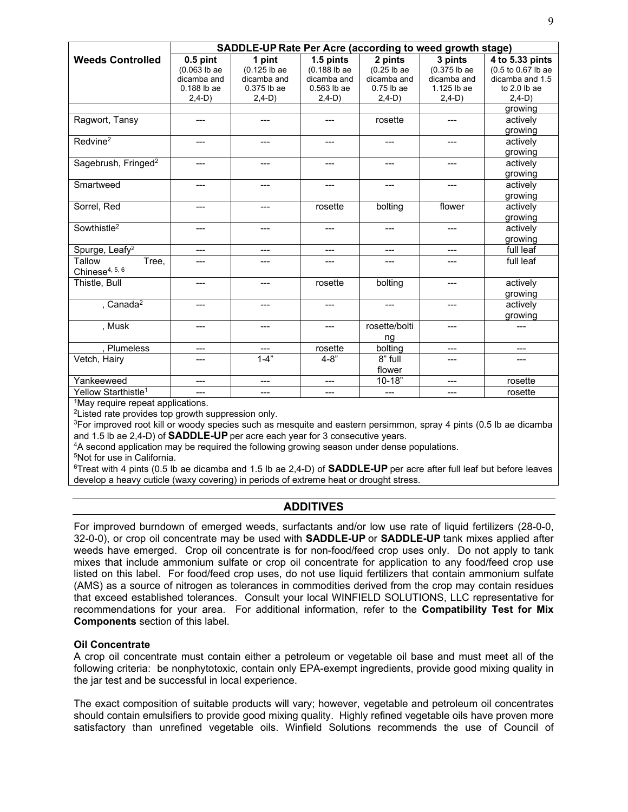|                                               | SADDLE-UP Rate Per Acre (according to weed growth stage) |              |                        |               |              |                    |  |  |
|-----------------------------------------------|----------------------------------------------------------|--------------|------------------------|---------------|--------------|--------------------|--|--|
| <b>Weeds Controlled</b>                       | $0.5$ pint                                               | 1 pint       | 1.5 pints              | 2 pints       | 3 pints      | 4 to 5.33 pints    |  |  |
|                                               | $(0.063$ lb ae                                           | (0.125 lb ae | (0.188 lb ae           | $(0.25$ lb ae | (0.375 lb ae | (0.5 to 0.67 lb ae |  |  |
|                                               | dicamba and                                              | dicamba and  | dicamba and            | dicamba and   | dicamba and  | dicamba and 1.5    |  |  |
|                                               | $0.188$ lb ae                                            | 0.375 lb ae  | $0.563$ lb ae          | $0.75$ lb ae  | 1.125 lb ae  | to $2.0$ lb ae     |  |  |
|                                               | $2,4-D)$                                                 | $2,4-D$ )    | $2,4-D$ )              | $2,4-D)$      | $2,4-D$ )    | $2,4-D$ )          |  |  |
|                                               |                                                          |              |                        |               |              | growing            |  |  |
| Ragwort, Tansy                                | ---                                                      | ---          |                        | rosette       | ---          | actively           |  |  |
|                                               |                                                          |              |                        |               |              | growing            |  |  |
| Redvine <sup>2</sup>                          | ---                                                      | ---          | ---                    | ---           | ---          | actively           |  |  |
|                                               |                                                          |              |                        |               |              | growing            |  |  |
| Sagebrush, Fringed <sup>2</sup>               | ---                                                      | ---          | ---                    | ---           |              | actively           |  |  |
|                                               |                                                          |              |                        |               |              | growing            |  |  |
| Smartweed                                     | ---                                                      | ---          | $---$                  | $---$         | ---          | actively           |  |  |
|                                               |                                                          |              |                        |               |              | growing            |  |  |
| Sorrel, Red                                   | ---                                                      | ---          | rosette                | bolting       | flower       | actively           |  |  |
|                                               |                                                          |              |                        |               |              | growing            |  |  |
| Sowthistle <sup>2</sup>                       | ---                                                      | ---          | $---$                  | ---           | ---          | actively           |  |  |
|                                               |                                                          |              |                        |               |              | growing            |  |  |
| Spurge, Leafy <sup>2</sup>                    | ---                                                      | ---          | ---                    | ---           | ---          | full leaf          |  |  |
| Tallow<br>Tree,                               | ---                                                      |              |                        |               |              | full leaf          |  |  |
| Chinese $4, 5, 6$                             |                                                          |              |                        |               |              |                    |  |  |
| Thistle, Bull                                 | ---                                                      | ---          | rosette                | bolting       | ---          | actively           |  |  |
|                                               |                                                          |              |                        |               |              | growing            |  |  |
| , Canada <sup>2</sup>                         | ---                                                      | ---          |                        |               | ---          | actively           |  |  |
|                                               |                                                          |              |                        |               |              | growing            |  |  |
| , Musk                                        | ---                                                      | ---          | $---$                  | rosette/bolti | ---          | ---                |  |  |
|                                               |                                                          |              |                        | ng            |              |                    |  |  |
| , Plumeless                                   | ---                                                      | ---          | rosette                | bolting       | ---          | ---                |  |  |
| Vetch, Hairy                                  | ---                                                      | $1 - 4"$     | $4 - 8"$               | 8" full       | ---          | ---                |  |  |
|                                               |                                                          |              |                        | flower        |              |                    |  |  |
| Yankeeweed                                    | ---                                                      | ---          | $\qquad \qquad \cdots$ | $10 - 18$     | ---          | rosette            |  |  |
| Yellow Starthistle <sup>1</sup>               | ---                                                      | ---          | ---                    | ---           | ---          | rosette            |  |  |
| <sup>1</sup> May require repeat applications. |                                                          |              |                        |               |              |                    |  |  |

2Listed rate provides top growth suppression only.

<sup>3</sup>For improved root kill or woody species such as mesquite and eastern persimmon, spray 4 pints (0.5 lb ae dicamba<br>and 1.5 lb ae 2.4-D) of **SADDLE-UP** per acre each vear for 3 consecutive vears.

<sup>4</sup>A second application may be required the following growing season under dense populations.

5Not for use in California.

6Treat with 4 pints (0.5 lb ae dicamba and 1.5 lb ae 2,4-D) of **SADDLE-UP** per acre after full leaf but before leaves develop a heavy cuticle (waxy covering) in periods of extreme heat or drought stress.

## **ADDITIVES**

For improved burndown of emerged weeds, surfactants and/or low use rate of liquid fertilizers (28-0-0, 32-0-0), or crop oil concentrate may be used with **SADDLE-UP** or **SADDLE-UP** tank mixes applied after weeds have emerged. Crop oil concentrate is for non-food/feed crop uses only. Do not apply to tank mixes that include ammonium sulfate or crop oil concentrate for application to any food/feed crop use listed on this label. For food/feed crop uses, do not use liquid fertilizers that contain ammonium sulfate (AMS) as a source of nitrogen as tolerances in commodities derived from the crop may contain residues that exceed established tolerances. Consult your local WINFIELD SOLUTIONS, LLC representative for recommendations for your area. For additional information, refer to the **Compatibility Test for Mix Components** section of this label.

#### **Oil Concentrate**

A crop oil concentrate must contain either a petroleum or vegetable oil base and must meet all of the following criteria: be nonphytotoxic, contain only EPA-exempt ingredients, provide good mixing quality in the jar test and be successful in local experience.

The exact composition of suitable products will vary; however, vegetable and petroleum oil concentrates should contain emulsifiers to provide good mixing quality. Highly refined vegetable oils have proven more satisfactory than unrefined vegetable oils. Winfield Solutions recommends the use of Council of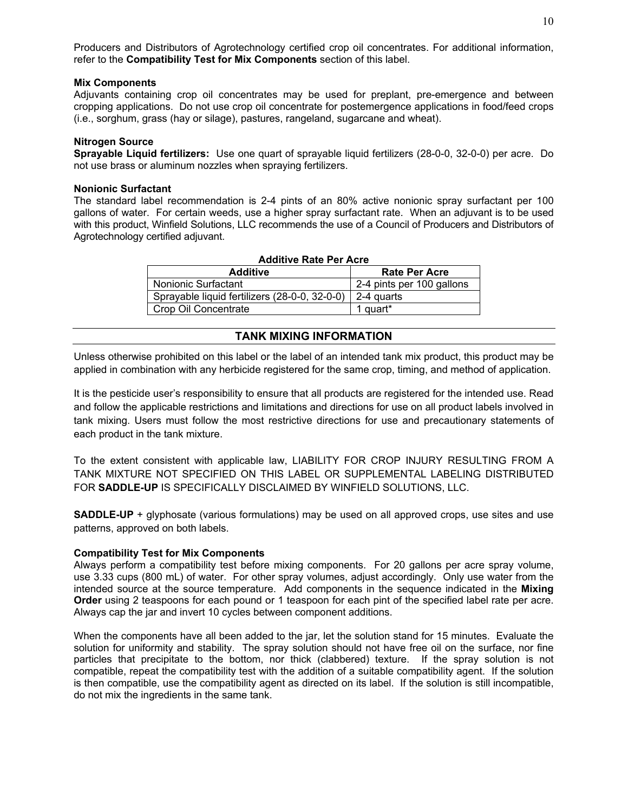Producers and Distributors of Agrotechnology certified crop oil concentrates. For additional information, refer to the **Compatibility Test for Mix Components** section of this label.

#### **Mix Components**

Adjuvants containing crop oil concentrates may be used for preplant, pre-emergence and between cropping applications. Do not use crop oil concentrate for postemergence applications in food/feed crops (i.e., sorghum, grass (hay or silage), pastures, rangeland, sugarcane and wheat).

#### **Nitrogen Source**

**Sprayable Liquid fertilizers:** Use one quart of sprayable liquid fertilizers (28-0-0, 32-0-0) per acre. Do not use brass or aluminum nozzles when spraying fertilizers.

#### **Nonionic Surfactant**

The standard label recommendation is 2-4 pints of an 80% active nonionic spray surfactant per 100 gallons of water. For certain weeds, use a higher spray surfactant rate. When an adjuvant is to be used with this product, Winfield Solutions, LLC recommends the use of a Council of Producers and Distributors of Agrotechnology certified adjuvant.

| <b>Additive Rate Per Acre</b>                 |                           |  |  |  |  |  |
|-----------------------------------------------|---------------------------|--|--|--|--|--|
| <b>Additive</b>                               | <b>Rate Per Acre</b>      |  |  |  |  |  |
| Nonionic Surfactant                           | 2-4 pints per 100 gallons |  |  |  |  |  |
| Sprayable liquid fertilizers (28-0-0, 32-0-0) | 2-4 quarts                |  |  |  |  |  |
| Crop Oil Concentrate                          | 1 quart*                  |  |  |  |  |  |

## **TANK MIXING INFORMATION**

Unless otherwise prohibited on this label or the label of an intended tank mix product, this product may be applied in combination with any herbicide registered for the same crop, timing, and method of application.

It is the pesticide user's responsibility to ensure that all products are registered for the intended use. Read and follow the applicable restrictions and limitations and directions for use on all product labels involved in tank mixing. Users must follow the most restrictive directions for use and precautionary statements of each product in the tank mixture.

To the extent consistent with applicable law, LIABILITY FOR CROP INJURY RESULTING FROM A TANK MIXTURE NOT SPECIFIED ON THIS LABEL OR SUPPLEMENTAL LABELING DISTRIBUTED FOR **SADDLE-UP** IS SPECIFICALLY DISCLAIMED BY WINFIELD SOLUTIONS, LLC.

**SADDLE-UP** + glyphosate (various formulations) may be used on all approved crops, use sites and use patterns, approved on both labels.

#### **Compatibility Test for Mix Components**

Always perform a compatibility test before mixing components. For 20 gallons per acre spray volume, use 3.33 cups (800 mL) of water. For other spray volumes, adjust accordingly. Only use water from the intended source at the source temperature. Add components in the sequence indicated in the **Mixing Order** using 2 teaspoons for each pound or 1 teaspoon for each pint of the specified label rate per acre. Always cap the jar and invert 10 cycles between component additions.

When the components have all been added to the jar, let the solution stand for 15 minutes. Evaluate the solution for uniformity and stability. The spray solution should not have free oil on the surface, nor fine particles that precipitate to the bottom, nor thick (clabbered) texture. If the spray solution is not compatible, repeat the compatibility test with the addition of a suitable compatibility agent. If the solution is then compatible, use the compatibility agent as directed on its label. If the solution is still incompatible, do not mix the ingredients in the same tank.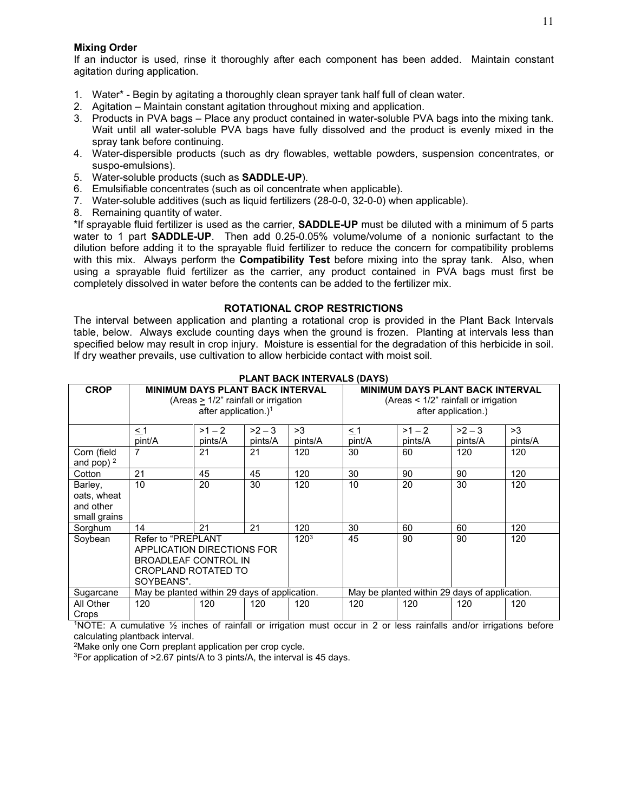#### **Mixing Order**

If an inductor is used, rinse it thoroughly after each component has been added. Maintain constant agitation during application.

- 1. Water\* Begin by agitating a thoroughly clean sprayer tank half full of clean water.
- 2. Agitation Maintain constant agitation throughout mixing and application.
- 3. Products in PVA bags Place any product contained in water-soluble PVA bags into the mixing tank. Wait until all water-soluble PVA bags have fully dissolved and the product is evenly mixed in the spray tank before continuing.
- 4. Water-dispersible products (such as dry flowables, wettable powders, suspension concentrates, or suspo-emulsions).
- 5. Water-soluble products (such as **SADDLE-UP**).
- 6. Emulsifiable concentrates (such as oil concentrate when applicable).
- 7. Water-soluble additives (such as liquid fertilizers (28-0-0, 32-0-0) when applicable).
- 8. Remaining quantity of water.

\*If sprayable fluid fertilizer is used as the carrier, **SADDLE-UP** must be diluted with a minimum of 5 parts water to 1 part **SADDLE-UP**. Then add 0.25-0.05% volume/volume of a nonionic surfactant to the dilution before adding it to the sprayable fluid fertilizer to reduce the concern for compatibility problems with this mix. Always perform the **Compatibility Test** before mixing into the spray tank. Also, when using a sprayable fluid fertilizer as the carrier, any product contained in PVA bags must first be completely dissolved in water before the contents can be added to the fertilizer mix.

#### **ROTATIONAL CROP RESTRICTIONS**

The interval between application and planting a rotational crop is provided in the Plant Back Intervals table, below. Always exclude counting days when the ground is frozen. Planting at intervals less than specified below may result in crop injury. Moisture is essential for the degradation of this herbicide in soil. If dry weather prevails, use cultivation to allow herbicide contact with moist soil.

| <b>CROP</b>                                         | <b>MINIMUM DAYS PLANT BACK INTERVAL</b><br>(Areas $>1/2$ " rainfall or irrigation<br>after application.) <sup>1</sup> |                     |                   |               |                    |                     | <b>MINIMUM DAYS PLANT BACK INTERVAL</b><br>(Areas $\leq 1/2$ " rainfall or irrigation<br>after application.) |               |
|-----------------------------------------------------|-----------------------------------------------------------------------------------------------------------------------|---------------------|-------------------|---------------|--------------------|---------------------|--------------------------------------------------------------------------------------------------------------|---------------|
|                                                     | $\leq$ 1<br>pint/A                                                                                                    | $>1 - 2$<br>pints/A | $>2-3$<br>pints/A | >3<br>pints/A | $\leq$ 1<br>pint/A | $>1 - 2$<br>pints/A | $>2-3$<br>pints/A                                                                                            | >3<br>pints/A |
| Corn (field<br>and pop) $2$                         | 7                                                                                                                     | 21                  | 21                | 120           | 30                 | 60                  | 120                                                                                                          | 120           |
| Cotton                                              | 21                                                                                                                    | 45                  | 45                | 120           | 30                 | 90                  | 90                                                                                                           | 120           |
| Barley,<br>oats, wheat<br>and other<br>small grains | 10                                                                                                                    | 20                  | 30                | 120           | 10                 | 20                  | 30                                                                                                           | 120           |
| Sorghum                                             | 14                                                                                                                    | 21                  | 21                | 120           | 30                 | 60                  | 60                                                                                                           | 120           |
| Soybean                                             | Refer to "PREPLANT<br>APPLICATION DIRECTIONS FOR<br><b>BROADLEAF CONTROL IN</b><br>CROPLAND ROTATED TO<br>SOYBEANS".  |                     | 120 <sup>3</sup>  | 45            | 90                 | 90                  | 120                                                                                                          |               |
| Sugarcane                                           | May be planted within 29 days of application.                                                                         |                     |                   |               |                    |                     | May be planted within 29 days of application.                                                                |               |
| All Other<br>Crops                                  | 120                                                                                                                   | 120                 | 120               | 120           | 120                | 120                 | 120                                                                                                          | 120           |

#### **PLANT BACK INTERVALS (DAYS)**

1NOTE: A cumulative ½ inches of rainfall or irrigation must occur in 2 or less rainfalls and/or irrigations before calculating plantback interval.

2Make only one Corn preplant application per crop cycle.

3For application of >2.67 pints/A to 3 pints/A, the interval is 45 days.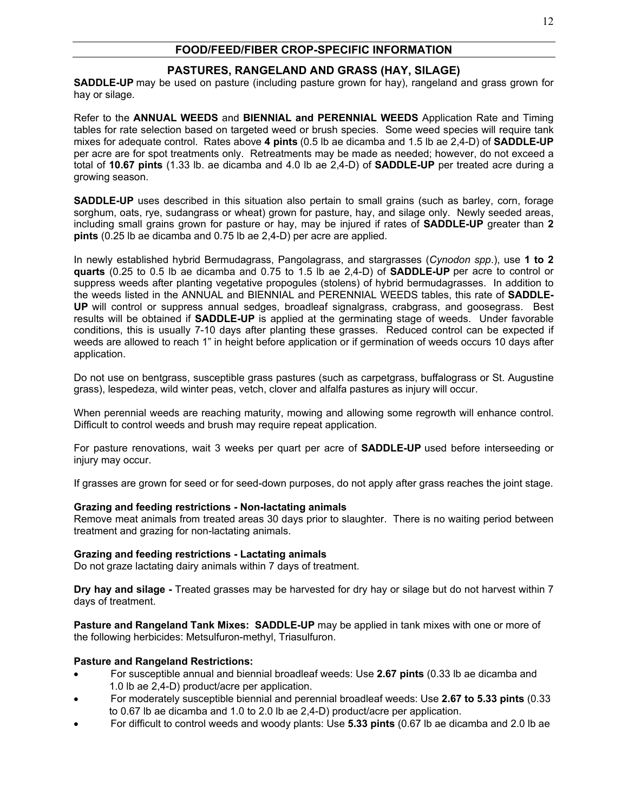## **FOOD/FEED/FIBER CROP-SPECIFIC INFORMATION**

## **PASTURES, RANGELAND AND GRASS (HAY, SILAGE)**

**SADDLE-UP** may be used on pasture (including pasture grown for hay), rangeland and grass grown for hay or silage.

Refer to the **ANNUAL WEEDS** and **BIENNIAL and PERENNIAL WEEDS** Application Rate and Timing tables for rate selection based on targeted weed or brush species. Some weed species will require tank mixes for adequate control. Rates above **4 pints** (0.5 lb ae dicamba and 1.5 lb ae 2,4-D) of **SADDLE-UP** per acre are for spot treatments only. Retreatments may be made as needed; however, do not exceed a total of **10.67 pints** (1.33 lb. ae dicamba and 4.0 lb ae 2,4-D) of **SADDLE-UP** per treated acre during a growing season.

**SADDLE-UP** uses described in this situation also pertain to small grains (such as barley, corn, forage sorghum, oats, rye, sudangrass or wheat) grown for pasture, hay, and silage only. Newly seeded areas, including small grains grown for pasture or hay, may be injured if rates of **SADDLE-UP** greater than **2 pints** (0.25 lb ae dicamba and 0.75 lb ae 2,4-D) per acre are applied.

In newly established hybrid Bermudagrass, Pangolagrass, and stargrasses (*Cynodon spp*.), use **1 to 2 quarts** (0.25 to 0.5 lb ae dicamba and 0.75 to 1.5 lb ae 2,4-D) of **SADDLE-UP** per acre to control or suppress weeds after planting vegetative propogules (stolens) of hybrid bermudagrasses. In addition to the weeds listed in the ANNUAL and BIENNIAL and PERENNIAL WEEDS tables, this rate of **SADDLE-UP** will control or suppress annual sedges, broadleaf signalgrass, crabgrass, and goosegrass. Best results will be obtained if **SADDLE-UP** is applied at the germinating stage of weeds. Under favorable conditions, this is usually 7-10 days after planting these grasses. Reduced control can be expected if weeds are allowed to reach 1" in height before application or if germination of weeds occurs 10 days after application.

Do not use on bentgrass, susceptible grass pastures (such as carpetgrass, buffalograss or St. Augustine grass), lespedeza, wild winter peas, vetch, clover and alfalfa pastures as injury will occur.

When perennial weeds are reaching maturity, mowing and allowing some regrowth will enhance control. Difficult to control weeds and brush may require repeat application.

For pasture renovations, wait 3 weeks per quart per acre of **SADDLE-UP** used before interseeding or injury may occur.

If grasses are grown for seed or for seed-down purposes, do not apply after grass reaches the joint stage.

#### **Grazing and feeding restrictions - Non-lactating animals**

Remove meat animals from treated areas 30 days prior to slaughter. There is no waiting period between treatment and grazing for non-lactating animals.

#### **Grazing and feeding restrictions - Lactating animals**

Do not graze lactating dairy animals within 7 days of treatment.

**Dry hay and silage -** Treated grasses may be harvested for dry hay or silage but do not harvest within 7 days of treatment.

**Pasture and Rangeland Tank Mixes: SADDLE-UP** may be applied in tank mixes with one or more of the following herbicides: Metsulfuron-methyl, Triasulfuron.

#### **Pasture and Rangeland Restrictions:**

- For susceptible annual and biennial broadleaf weeds: Use **2.67 pints** (0.33 lb ae dicamba and 1.0 lb ae 2,4-D) product/acre per application.
- For moderately susceptible biennial and perennial broadleaf weeds: Use **2.67 to 5.33 pints** (0.33 to 0.67 lb ae dicamba and 1.0 to 2.0 lb ae 2,4-D) product/acre per application.
- For difficult to control weeds and woody plants: Use **5.33 pints** (0.67 lb ae dicamba and 2.0 lb ae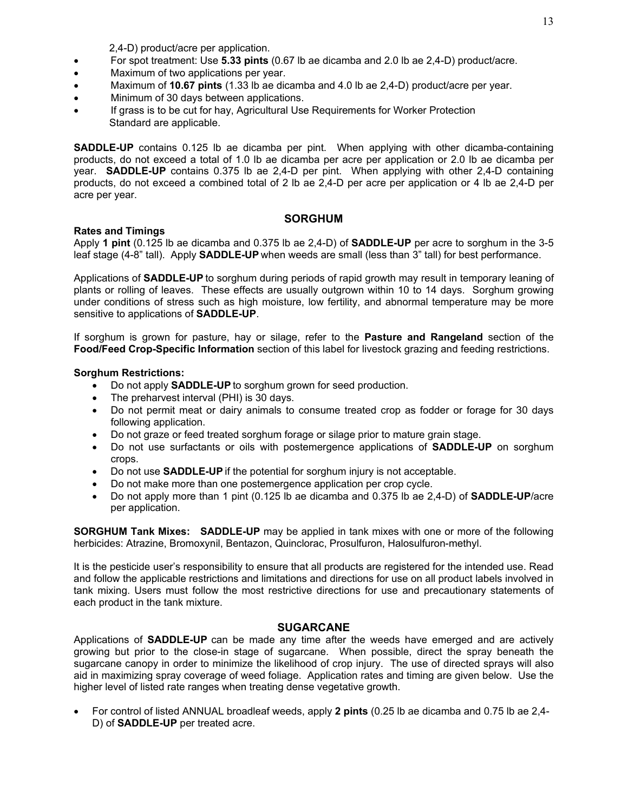2,4-D) product/acre per application.

- For spot treatment: Use **5.33 pints** (0.67 lb ae dicamba and 2.0 lb ae 2,4-D) product/acre.
- Maximum of two applications per year.
- Maximum of **10.67 pints** (1.33 lb ae dicamba and 4.0 lb ae 2,4-D) product/acre per year.
- Minimum of 30 days between applications.
- If grass is to be cut for hay, Agricultural Use Requirements for Worker Protection Standard are applicable.

**SADDLE-UP** contains 0.125 lb ae dicamba per pint. When applying with other dicamba-containing products, do not exceed a total of 1.0 lb ae dicamba per acre per application or 2.0 lb ae dicamba per year. **SADDLE-UP** contains 0.375 lb ae 2,4-D per pint. When applying with other 2,4-D containing products, do not exceed a combined total of 2 lb ae 2,4-D per acre per application or 4 lb ae 2,4-D per acre per year.

#### **SORGHUM**

#### **Rates and Timings**

Apply **1 pint** (0.125 lb ae dicamba and 0.375 lb ae 2,4-D) of **SADDLE-UP** per acre to sorghum in the 3-5 leaf stage (4-8" tall). Apply **SADDLE-UP** when weeds are small (less than 3" tall) for best performance.

Applications of **SADDLE-UP** to sorghum during periods of rapid growth may result in temporary leaning of plants or rolling of leaves. These effects are usually outgrown within 10 to 14 days. Sorghum growing under conditions of stress such as high moisture, low fertility, and abnormal temperature may be more sensitive to applications of **SADDLE-UP**.

If sorghum is grown for pasture, hay or silage, refer to the **Pasture and Rangeland** section of the **Food/Feed Crop-Specific Information** section of this label for livestock grazing and feeding restrictions.

#### **Sorghum Restrictions:**

- Do not apply **SADDLE-UP** to sorghum grown for seed production.
- The preharvest interval (PHI) is 30 days.
- Do not permit meat or dairy animals to consume treated crop as fodder or forage for 30 days following application.
- Do not graze or feed treated sorghum forage or silage prior to mature grain stage.
- Do not use surfactants or oils with postemergence applications of **SADDLE-UP** on sorghum crops.
- Do not use **SADDLE-UP** if the potential for sorghum injury is not acceptable.
- Do not make more than one postemergence application per crop cycle.
- Do not apply more than 1 pint (0.125 lb ae dicamba and 0.375 lb ae 2,4-D) of **SADDLE-UP**/acre per application.

**SORGHUM Tank Mixes: SADDLE-UP** may be applied in tank mixes with one or more of the following herbicides: Atrazine, Bromoxynil, Bentazon, Quinclorac, Prosulfuron, Halosulfuron-methyl.

It is the pesticide user's responsibility to ensure that all products are registered for the intended use. Read and follow the applicable restrictions and limitations and directions for use on all product labels involved in tank mixing. Users must follow the most restrictive directions for use and precautionary statements of each product in the tank mixture.

#### **SUGARCANE**

Applications of **SADDLE-UP** can be made any time after the weeds have emerged and are actively growing but prior to the close-in stage of sugarcane. When possible, direct the spray beneath the sugarcane canopy in order to minimize the likelihood of crop injury. The use of directed sprays will also aid in maximizing spray coverage of weed foliage. Application rates and timing are given below. Use the higher level of listed rate ranges when treating dense vegetative growth.

• For control of listed ANNUAL broadleaf weeds, apply **2 pints** (0.25 lb ae dicamba and 0.75 lb ae 2,4- D) of **SADDLE-UP** per treated acre.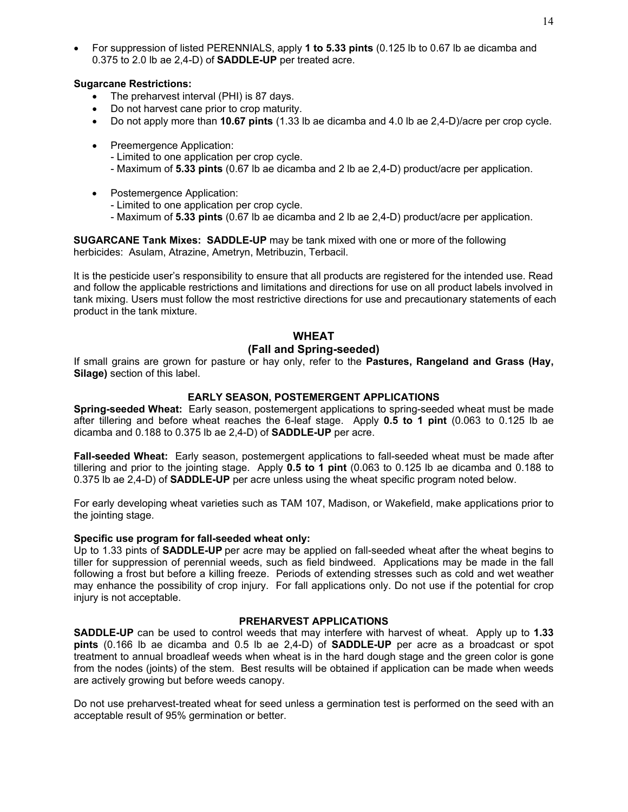#### **Sugarcane Restrictions:**

- The preharvest interval (PHI) is 87 days.
- Do not harvest cane prior to crop maturity.
- Do not apply more than **10.67 pints** (1.33 lb ae dicamba and 4.0 lb ae 2,4-D)/acre per crop cycle.
- Preemergence Application:
	- Limited to one application per crop cycle.
	- Maximum of **5.33 pints** (0.67 lb ae dicamba and 2 lb ae 2,4-D) product/acre per application.
- Postemergence Application:
	- Limited to one application per crop cycle.
	- Maximum of **5.33 pints** (0.67 lb ae dicamba and 2 lb ae 2,4-D) product/acre per application.

**SUGARCANE Tank Mixes: SADDLE-UP** may be tank mixed with one or more of the following herbicides: Asulam, Atrazine, Ametryn, Metribuzin, Terbacil.

It is the pesticide user's responsibility to ensure that all products are registered for the intended use. Read and follow the applicable restrictions and limitations and directions for use on all product labels involved in tank mixing. Users must follow the most restrictive directions for use and precautionary statements of each product in the tank mixture.

#### **WHEAT**

#### **(Fall and Spring-seeded)**

If small grains are grown for pasture or hay only, refer to the **Pastures, Rangeland and Grass (Hay, Silage)** section of this label.

#### **EARLY SEASON, POSTEMERGENT APPLICATIONS**

**Spring-seeded Wheat:** Early season, postemergent applications to spring-seeded wheat must be made after tillering and before wheat reaches the 6-leaf stage. Apply **0.5 to 1 pint** (0.063 to 0.125 lb ae dicamba and 0.188 to 0.375 lb ae 2,4-D) of **SADDLE-UP** per acre.

**Fall-seeded Wheat:** Early season, postemergent applications to fall-seeded wheat must be made after tillering and prior to the jointing stage. Apply **0.5 to 1 pint** (0.063 to 0.125 lb ae dicamba and 0.188 to 0.375 lb ae 2,4-D) of **SADDLE-UP** per acre unless using the wheat specific program noted below.

For early developing wheat varieties such as TAM 107, Madison, or Wakefield, make applications prior to the jointing stage.

#### **Specific use program for fall-seeded wheat only:**

Up to 1.33 pints of **SADDLE-UP** per acre may be applied on fall-seeded wheat after the wheat begins to tiller for suppression of perennial weeds, such as field bindweed. Applications may be made in the fall following a frost but before a killing freeze. Periods of extending stresses such as cold and wet weather may enhance the possibility of crop injury. For fall applications only. Do not use if the potential for crop injury is not acceptable.

#### **PREHARVEST APPLICATIONS**

**SADDLE-UP** can be used to control weeds that may interfere with harvest of wheat. Apply up to **1.33 pints** (0.166 lb ae dicamba and 0.5 lb ae 2,4-D) of **SADDLE-UP** per acre as a broadcast or spot treatment to annual broadleaf weeds when wheat is in the hard dough stage and the green color is gone from the nodes (joints) of the stem. Best results will be obtained if application can be made when weeds are actively growing but before weeds canopy.

Do not use preharvest-treated wheat for seed unless a germination test is performed on the seed with an acceptable result of 95% germination or better.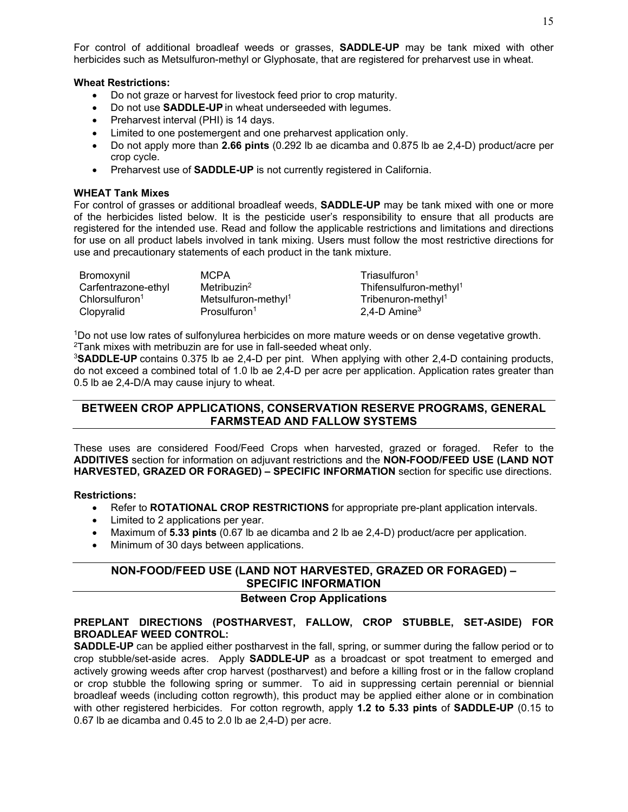For control of additional broadleaf weeds or grasses, **SADDLE-UP** may be tank mixed with other herbicides such as Metsulfuron-methyl or Glyphosate, that are registered for preharvest use in wheat.

#### **Wheat Restrictions:**

- Do not graze or harvest for livestock feed prior to crop maturity.
- Do not use **SADDLE-UP** in wheat underseeded with legumes.
- Preharvest interval (PHI) is 14 days.
- Limited to one postemergent and one preharvest application only.
- Do not apply more than **2.66 pints** (0.292 lb ae dicamba and 0.875 lb ae 2,4-D) product/acre per crop cycle.
- Preharvest use of **SADDLE-UP** is not currently registered in California.

#### **WHEAT Tank Mixes**

For control of grasses or additional broadleaf weeds, **SADDLE-UP** may be tank mixed with one or more of the herbicides listed below. It is the pesticide user's responsibility to ensure that all products are registered for the intended use. Read and follow the applicable restrictions and limitations and directions for use on all product labels involved in tank mixing. Users must follow the most restrictive directions for use and precautionary statements of each product in the tank mixture.

| Bromoxynil                 | MCPA                            | Triasulfuron <sup>1</sup>          |
|----------------------------|---------------------------------|------------------------------------|
| Carfentrazone-ethyl        | Metribuzin <sup>2</sup>         | Thifensulfuron-methyl <sup>1</sup> |
| Chlorsulfuron <sup>1</sup> | Metsulfuron-methyl <sup>1</sup> | Tribenuron-methyl <sup>1</sup>     |
| Clopyralid                 | Prosulfuron <sup>1</sup>        | $2,4$ -D Amine <sup>3</sup>        |

1Do not use low rates of sulfonylurea herbicides on more mature weeds or on dense vegetative growth. 2Tank mixes with metribuzin are for use in fall-seeded wheat only.

<sup>3</sup>**SADDLE-UP** contains 0.375 lb ae 2,4-D per pint. When applying with other 2,4-D containing products, do not exceed a combined total of 1.0 lb ae 2,4-D per acre per application. Application rates greater than 0.5 lb ae 2,4-D/A may cause injury to wheat.

## **BETWEEN CROP APPLICATIONS, CONSERVATION RESERVE PROGRAMS, GENERAL FARMSTEAD AND FALLOW SYSTEMS**

These uses are considered Food/Feed Crops when harvested, grazed or foraged. Refer to the **ADDITIVES** section for information on adjuvant restrictions and the **NON-FOOD/FEED USE (LAND NOT HARVESTED, GRAZED OR FORAGED) – SPECIFIC INFORMATION** section for specific use directions.

**Restrictions:** 

- Refer to **ROTATIONAL CROP RESTRICTIONS** for appropriate pre-plant application intervals.
- Limited to 2 applications per year.
- Maximum of **5.33 pints** (0.67 lb ae dicamba and 2 lb ae 2,4-D) product/acre per application.
- Minimum of 30 days between applications.

## **NON-FOOD/FEED USE (LAND NOT HARVESTED, GRAZED OR FORAGED) – SPECIFIC INFORMATION**

## **Between Crop Applications**

#### **PREPLANT DIRECTIONS (POSTHARVEST, FALLOW, CROP STUBBLE, SET-ASIDE) FOR BROADLEAF WEED CONTROL:**

**SADDLE-UP** can be applied either postharvest in the fall, spring, or summer during the fallow period or to crop stubble/set-aside acres. Apply **SADDLE-UP** as a broadcast or spot treatment to emerged and actively growing weeds after crop harvest (postharvest) and before a killing frost or in the fallow cropland or crop stubble the following spring or summer. To aid in suppressing certain perennial or biennial broadleaf weeds (including cotton regrowth), this product may be applied either alone or in combination with other registered herbicides. For cotton regrowth, apply **1.2 to 5.33 pints** of **SADDLE-UP** (0.15 to 0.67 lb ae dicamba and 0.45 to 2.0 lb ae 2,4-D) per acre.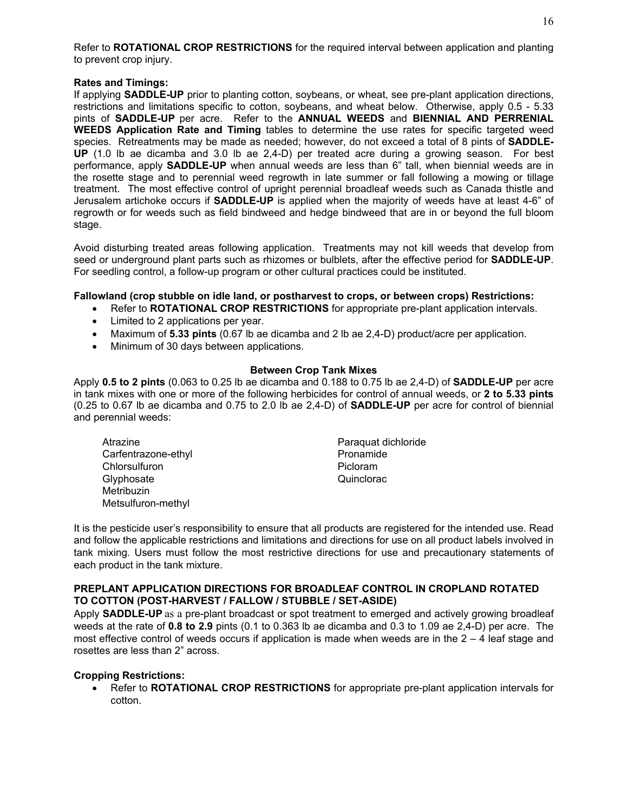Refer to **ROTATIONAL CROP RESTRICTIONS** for the required interval between application and planting to prevent crop injury.

#### **Rates and Timings:**

If applying **SADDLE-UP** prior to planting cotton, soybeans, or wheat, see pre-plant application directions, restrictions and limitations specific to cotton, soybeans, and wheat below. Otherwise, apply 0.5 - 5.33 pints of **SADDLE-UP** per acre. Refer to the **ANNUAL WEEDS** and **BIENNIAL AND PERRENIAL WEEDS Application Rate and Timing** tables to determine the use rates for specific targeted weed species. Retreatments may be made as needed; however, do not exceed a total of 8 pints of **SADDLE-UP** (1.0 lb ae dicamba and 3.0 lb ae 2,4-D) per treated acre during a growing season. For best performance, apply **SADDLE-UP** when annual weeds are less than 6" tall, when biennial weeds are in the rosette stage and to perennial weed regrowth in late summer or fall following a mowing or tillage treatment. The most effective control of upright perennial broadleaf weeds such as Canada thistle and Jerusalem artichoke occurs if **SADDLE-UP** is applied when the majority of weeds have at least 4-6" of regrowth or for weeds such as field bindweed and hedge bindweed that are in or beyond the full bloom stage.

Avoid disturbing treated areas following application. Treatments may not kill weeds that develop from seed or underground plant parts such as rhizomes or bulblets, after the effective period for **SADDLE-UP**. For seedling control, a follow-up program or other cultural practices could be instituted.

#### **Fallowland (crop stubble on idle land, or postharvest to crops, or between crops) Restrictions:**

- Refer to **ROTATIONAL CROP RESTRICTIONS** for appropriate pre-plant application intervals.
- Limited to 2 applications per year.
- Maximum of **5.33 pints** (0.67 lb ae dicamba and 2 lb ae 2,4-D) product/acre per application.
- Minimum of 30 days between applications.

#### **Between Crop Tank Mixes**

Apply **0.5 to 2 pints** (0.063 to 0.25 lb ae dicamba and 0.188 to 0.75 lb ae 2,4-D) of **SADDLE-UP** per acre in tank mixes with one or more of the following herbicides for control of annual weeds, or **2 to 5.33 pints** (0.25 to 0.67 lb ae dicamba and 0.75 to 2.0 lb ae 2,4-D) of **SADDLE-UP** per acre for control of biennial and perennial weeds:

- Atrazine **Atrazine Paraquat dichloride** Carfentrazone-ethyl **Pronamide** Chlorsulfuron **Picloram** Picloram Glyphosate Quinclorac Metribuzin Metsulfuron-methyl
- 

It is the pesticide user's responsibility to ensure that all products are registered for the intended use. Read and follow the applicable restrictions and limitations and directions for use on all product labels involved in tank mixing. Users must follow the most restrictive directions for use and precautionary statements of each product in the tank mixture.

#### **PREPLANT APPLICATION DIRECTIONS FOR BROADLEAF CONTROL IN CROPLAND ROTATED TO COTTON (POST-HARVEST / FALLOW / STUBBLE / SET-ASIDE)**

Apply **SADDLE-UP** as a pre-plant broadcast or spot treatment to emerged and actively growing broadleaf weeds at the rate of **0.8 to 2.9** pints (0.1 to 0.363 lb ae dicamba and 0.3 to 1.09 ae 2,4-D) per acre. The most effective control of weeds occurs if application is made when weeds are in the  $2 - 4$  leaf stage and rosettes are less than 2" across.

#### **Cropping Restrictions:**

• Refer to **ROTATIONAL CROP RESTRICTIONS** for appropriate pre-plant application intervals for cotton.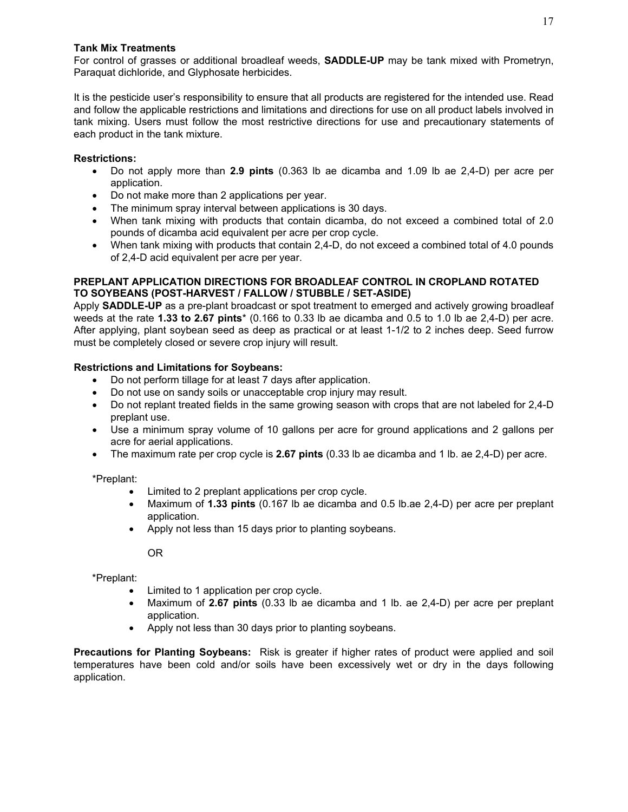#### **Tank Mix Treatments**

For control of grasses or additional broadleaf weeds, **SADDLE-UP** may be tank mixed with Prometryn, Paraquat dichloride, and Glyphosate herbicides.

It is the pesticide user's responsibility to ensure that all products are registered for the intended use. Read and follow the applicable restrictions and limitations and directions for use on all product labels involved in tank mixing. Users must follow the most restrictive directions for use and precautionary statements of each product in the tank mixture.

#### **Restrictions:**

- Do not apply more than **2.9 pints** (0.363 lb ae dicamba and 1.09 lb ae 2,4-D) per acre per application.
- Do not make more than 2 applications per year.
- The minimum spray interval between applications is 30 days.
- When tank mixing with products that contain dicamba, do not exceed a combined total of 2.0 pounds of dicamba acid equivalent per acre per crop cycle.
- When tank mixing with products that contain 2,4-D, do not exceed a combined total of 4.0 pounds of 2,4-D acid equivalent per acre per year.

#### **PREPLANT APPLICATION DIRECTIONS FOR BROADLEAF CONTROL IN CROPLAND ROTATED TO SOYBEANS (POST-HARVEST / FALLOW / STUBBLE / SET-ASIDE)**

Apply **SADDLE-UP** as a pre-plant broadcast or spot treatment to emerged and actively growing broadleaf weeds at the rate **1.33 to 2.67 pints**\* (0.166 to 0.33 lb ae dicamba and 0.5 to 1.0 lb ae 2,4-D) per acre. After applying, plant soybean seed as deep as practical or at least 1-1/2 to 2 inches deep. Seed furrow must be completely closed or severe crop injury will result.

#### **Restrictions and Limitations for Soybeans:**

- Do not perform tillage for at least 7 days after application.
- Do not use on sandy soils or unacceptable crop injury may result.
- Do not replant treated fields in the same growing season with crops that are not labeled for 2,4-D preplant use.
- Use a minimum spray volume of 10 gallons per acre for ground applications and 2 gallons per acre for aerial applications.
- The maximum rate per crop cycle is **2.67 pints** (0.33 lb ae dicamba and 1 lb. ae 2,4-D) per acre.

\*Preplant:

- Limited to 2 preplant applications per crop cycle.
- Maximum of **1.33 pints** (0.167 lb ae dicamba and 0.5 lb.ae 2,4-D) per acre per preplant application.
- Apply not less than 15 days prior to planting soybeans.

OR

\*Preplant:

- Limited to 1 application per crop cycle.
- Maximum of **2.67 pints** (0.33 lb ae dicamba and 1 lb. ae 2,4-D) per acre per preplant application.
- Apply not less than 30 days prior to planting soybeans.

**Precautions for Planting Soybeans:** Risk is greater if higher rates of product were applied and soil temperatures have been cold and/or soils have been excessively wet or dry in the days following application.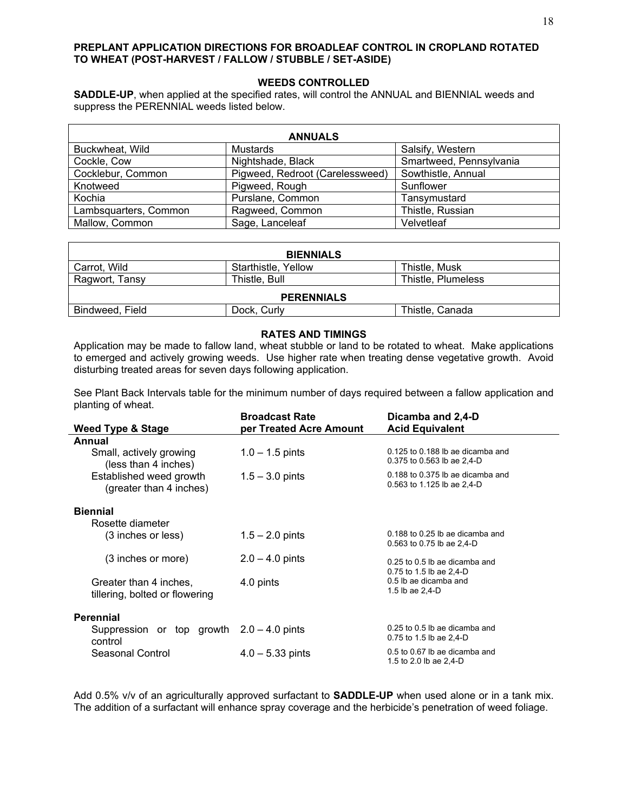#### **PREPLANT APPLICATION DIRECTIONS FOR BROADLEAF CONTROL IN CROPLAND ROTATED TO WHEAT (POST-HARVEST / FALLOW / STUBBLE / SET-ASIDE)**

#### **WEEDS CONTROLLED**

**SADDLE-UP**, when applied at the specified rates, will control the ANNUAL and BIENNIAL weeds and suppress the PERENNIAL weeds listed below.

| <b>ANNUALS</b>        |                                 |                         |  |  |  |  |  |
|-----------------------|---------------------------------|-------------------------|--|--|--|--|--|
| Buckwheat, Wild       | Mustards                        | Salsify, Western        |  |  |  |  |  |
| Cockle, Cow           | Nightshade, Black               | Smartweed, Pennsylvania |  |  |  |  |  |
| Cocklebur, Common     | Pigweed, Redroot (Carelessweed) | Sowthistle, Annual      |  |  |  |  |  |
| Knotweed              | Pigweed, Rough                  | Sunflower               |  |  |  |  |  |
| Kochia                | Purslane, Common                | Tansymustard            |  |  |  |  |  |
| Lambsquarters, Common | Ragweed, Common                 | Thistle, Russian        |  |  |  |  |  |
| Mallow, Common        | Sage, Lanceleaf                 | Velvetleaf              |  |  |  |  |  |

| <b>BIENNIALS</b>  |                     |                    |  |  |
|-------------------|---------------------|--------------------|--|--|
| Carrot, Wild      | Starthistle, Yellow | Thistle, Musk      |  |  |
| Ragwort, Tansy    | Thistle, Bull       | Thistle, Plumeless |  |  |
| <b>PERENNIALS</b> |                     |                    |  |  |
| Bindweed, Field   | Dock, Curly         | Thistle, Canada    |  |  |

#### **RATES AND TIMINGS**

Application may be made to fallow land, wheat stubble or land to be rotated to wheat. Make applications to emerged and actively growing weeds. Use higher rate when treating dense vegetative growth. Avoid disturbing treated areas for seven days following application.

See Plant Back Intervals table for the minimum number of days required between a fallow application and planting of wheat.

|                                                          | <b>Broadcast Rate</b>      | Dicamba and 2,4-D                                                  |
|----------------------------------------------------------|----------------------------|--------------------------------------------------------------------|
| <b>Weed Type &amp; Stage</b>                             | per Treated Acre Amount    | <b>Acid Equivalent</b>                                             |
| Annual                                                   |                            |                                                                    |
| Small, actively growing<br>(less than 4 inches)          | $1.0 - 1.5$ pints          | 0.125 to 0.188 lb ae dicamba and<br>0.375 to 0.563 lb ae 2,4-D     |
| Established weed growth<br>(greater than 4 inches)       | $1.5 - 3.0$ pints          | $0.188$ to $0.375$ lb ae dicamba and<br>0.563 to 1.125 lb ae 2,4-D |
| <b>Biennial</b><br>Rosette diameter                      |                            |                                                                    |
| (3 inches or less)                                       | $1.5 - 2.0$ pints          | $0.188$ to $0.25$ lb ae dicamba and<br>0.563 to 0.75 lb ae 2,4-D   |
| (3 inches or more)                                       | $2.0 - 4.0$ pints          | $0.25$ to $0.5$ lb ae dicamba and<br>0.75 to 1.5 lb ae 2,4-D       |
| Greater than 4 inches,<br>tillering, bolted or flowering | 4.0 pints                  | 0.5 lb ae dicamba and<br>1.5 lb ae 2,4-D                           |
| <b>Perennial</b>                                         |                            |                                                                    |
| Suppression or top growth $2.0 - 4.0$ pints<br>control   |                            | $0.25$ to $0.5$ lb ae dicamba and<br>0.75 to 1.5 lb ae $2,4$ -D    |
| Seasonal Control                                         | $4.0 - 5.33 \text{ pints}$ | 0.5 to 0.67 lb ae dicamba and<br>1.5 to 2.0 lb ae 2,4-D            |

Add 0.5% v/v of an agriculturally approved surfactant to **SADDLE-UP** when used alone or in a tank mix. The addition of a surfactant will enhance spray coverage and the herbicide's penetration of weed foliage.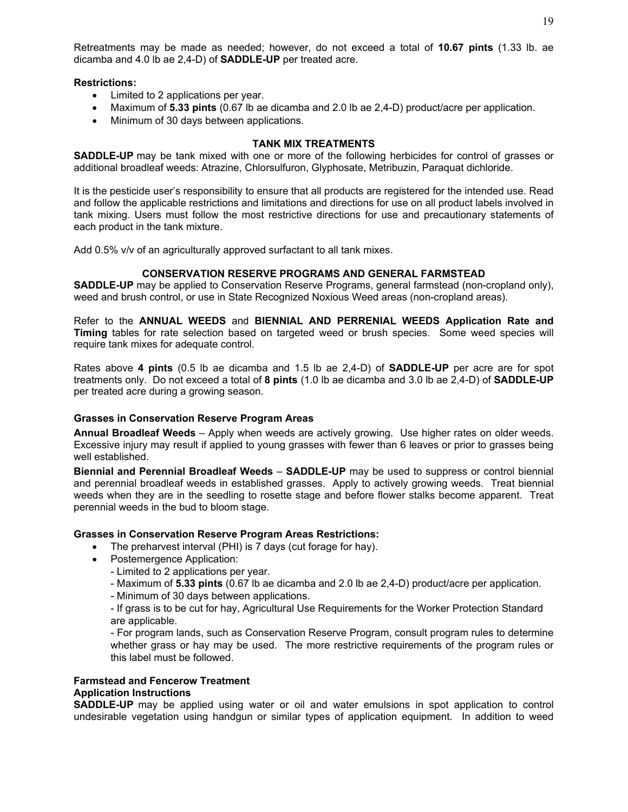Retreatments may be made as needed; however, do not exceed a total of **10.67 pints** (1.33 lb. ae dicamba and 4.0 lb ae 2,4-D) of **SADDLE-UP** per treated acre.

#### **Restrictions:**

- Limited to 2 applications per year.
- Maximum of **5.33 pints** (0.67 lb ae dicamba and 2.0 lb ae 2,4-D) product/acre per application.
- Minimum of 30 days between applications.

#### **TANK MIX TREATMENTS**

**SADDLE-UP** may be tank mixed with one or more of the following herbicides for control of grasses or additional broadleaf weeds: Atrazine, Chlorsulfuron, Glyphosate, Metribuzin, Paraquat dichloride.

It is the pesticide user's responsibility to ensure that all products are registered for the intended use. Read and follow the applicable restrictions and limitations and directions for use on all product labels involved in tank mixing. Users must follow the most restrictive directions for use and precautionary statements of each product in the tank mixture.

Add 0.5% v/v of an agriculturally approved surfactant to all tank mixes.

#### **CONSERVATION RESERVE PROGRAMS AND GENERAL FARMSTEAD**

**SADDLE-UP** may be applied to Conservation Reserve Programs, general farmstead (non-cropland only), weed and brush control, or use in State Recognized Noxious Weed areas (non-cropland areas).

Refer to the **ANNUAL WEEDS** and **BIENNIAL AND PERRENIAL WEEDS Application Rate and Timing** tables for rate selection based on targeted weed or brush species. Some weed species will require tank mixes for adequate control.

Rates above **4 pints** (0.5 lb ae dicamba and 1.5 lb ae 2,4-D) of **SADDLE-UP** per acre are for spot treatments only. Do not exceed a total of **8 pints** (1.0 lb ae dicamba and 3.0 lb ae 2,4-D) of **SADDLE-UP** per treated acre during a growing season.

#### **Grasses in Conservation Reserve Program Areas**

**Annual Broadleaf Weeds** – Apply when weeds are actively growing. Use higher rates on older weeds. Excessive injury may result if applied to young grasses with fewer than 6 leaves or prior to grasses being well established.

**Biennial and Perennial Broadleaf Weeds** – **SADDLE-UP** may be used to suppress or control biennial and perennial broadleaf weeds in established grasses. Apply to actively growing weeds. Treat biennial weeds when they are in the seedling to rosette stage and before flower stalks become apparent. Treat perennial weeds in the bud to bloom stage.

#### **Grasses in Conservation Reserve Program Areas Restrictions:**

- The preharvest interval (PHI) is 7 days (cut forage for hay).
- Postemergence Application:
	- Limited to 2 applications per year.
	- Maximum of **5.33 pints** (0.67 lb ae dicamba and 2.0 lb ae 2,4-D) product/acre per application.
	- Minimum of 30 days between applications.

- If grass is to be cut for hay, Agricultural Use Requirements for the Worker Protection Standard are applicable.

- For program lands, such as Conservation Reserve Program, consult program rules to determine whether grass or hay may be used. The more restrictive requirements of the program rules or this label must be followed.

#### **Farmstead and Fencerow Treatment Application Instructions**

**SADDLE-UP** may be applied using water or oil and water emulsions in spot application to control undesirable vegetation using handgun or similar types of application equipment. In addition to weed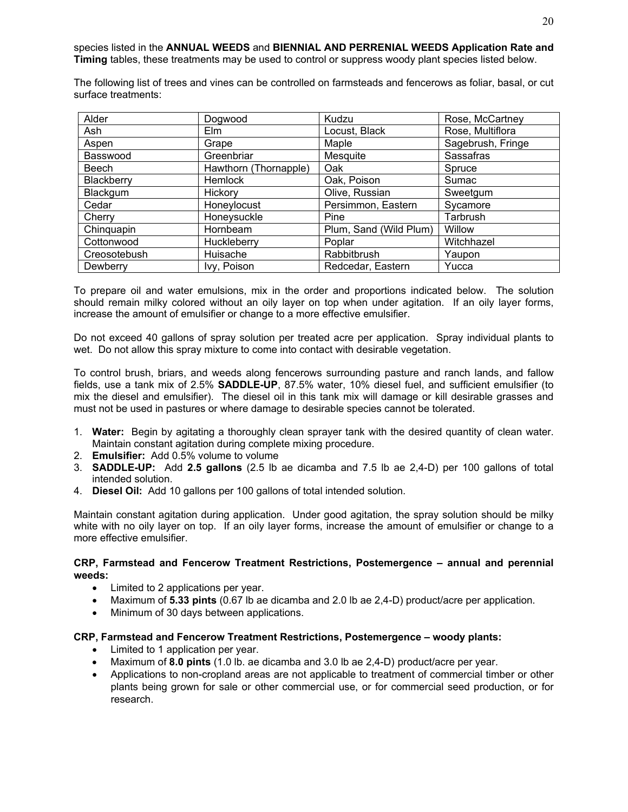The following list of trees and vines can be controlled on farmsteads and fencerows as foliar, basal, or cut surface treatments:

| Alder        | Dogwood               | Kudzu                  | Rose, McCartney   |
|--------------|-----------------------|------------------------|-------------------|
| Ash          | <b>Elm</b>            | Locust, Black          | Rose, Multiflora  |
| Aspen        | Grape                 | Maple                  | Sagebrush, Fringe |
| Basswood     | Greenbriar            | Mesquite               | <b>Sassafras</b>  |
| Beech        | Hawthorn (Thornapple) | <b>Oak</b>             | Spruce            |
| Blackberry   | Hemlock               | Oak, Poison            | Sumac             |
| Blackgum     | Hickory               | Olive, Russian         | Sweetgum          |
| Cedar        | Honeylocust           | Persimmon, Eastern     | Sycamore          |
| Cherry       | Honeysuckle           | Pine                   | Tarbrush          |
| Chinquapin   | Hornbeam              | Plum, Sand (Wild Plum) | Willow            |
| Cottonwood   | Huckleberry           | Poplar                 | Witchhazel        |
| Creosotebush | Huisache              | Rabbitbrush            | Yaupon            |
| Dewberry     | Ivy, Poison           | Redcedar, Eastern      | Yucca             |

To prepare oil and water emulsions, mix in the order and proportions indicated below. The solution should remain milky colored without an oily layer on top when under agitation. If an oily layer forms, increase the amount of emulsifier or change to a more effective emulsifier.

Do not exceed 40 gallons of spray solution per treated acre per application. Spray individual plants to wet. Do not allow this spray mixture to come into contact with desirable vegetation.

To control brush, briars, and weeds along fencerows surrounding pasture and ranch lands, and fallow fields, use a tank mix of 2.5% **SADDLE-UP**, 87.5% water, 10% diesel fuel, and sufficient emulsifier (to mix the diesel and emulsifier). The diesel oil in this tank mix will damage or kill desirable grasses and must not be used in pastures or where damage to desirable species cannot be tolerated.

- 1. **Water:** Begin by agitating a thoroughly clean sprayer tank with the desired quantity of clean water. Maintain constant agitation during complete mixing procedure.
- 2. **Emulsifier:** Add 0.5% volume to volume
- 3. **SADDLE-UP:** Add **2.5 gallons** (2.5 lb ae dicamba and 7.5 lb ae 2,4-D) per 100 gallons of total intended solution.
- 4. **Diesel Oil:** Add 10 gallons per 100 gallons of total intended solution.

Maintain constant agitation during application. Under good agitation, the spray solution should be milky white with no oily layer on top. If an oily layer forms, increase the amount of emulsifier or change to a more effective emulsifier.

#### **CRP, Farmstead and Fencerow Treatment Restrictions, Postemergence – annual and perennial weeds:**

- Limited to 2 applications per year.
- Maximum of **5.33 pints** (0.67 lb ae dicamba and 2.0 lb ae 2,4-D) product/acre per application.
- Minimum of 30 days between applications.

#### **CRP, Farmstead and Fencerow Treatment Restrictions, Postemergence – woody plants:**

- Limited to 1 application per year.
- Maximum of **8.0 pints** (1.0 lb. ae dicamba and 3.0 lb ae 2,4-D) product/acre per year.
- Applications to non-cropland areas are not applicable to treatment of commercial timber or other plants being grown for sale or other commercial use, or for commercial seed production, or for research.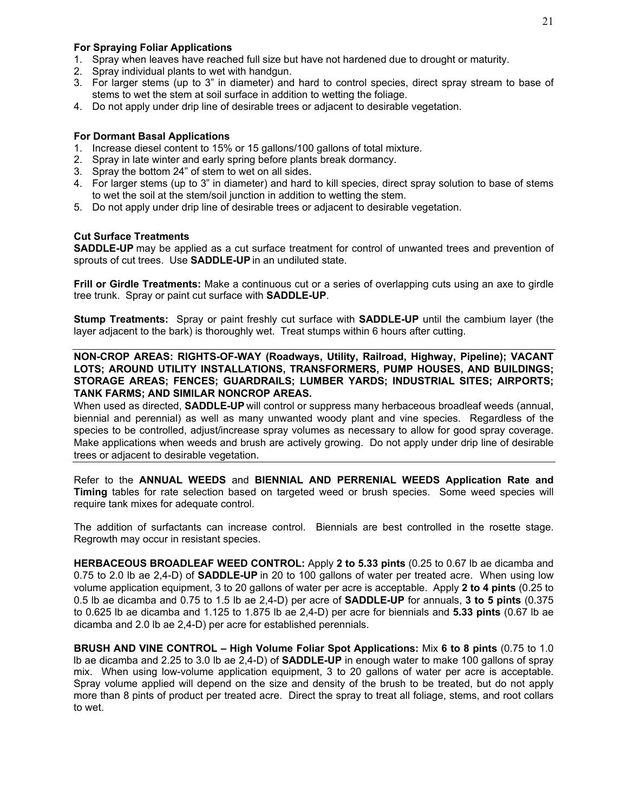#### **For Spraying Foliar Applications**

- 1. Spray when leaves have reached full size but have not hardened due to drought or maturity.
- 2. Spray individual plants to wet with handgun.
- 3. For larger stems (up to 3" in diameter) and hard to control species, direct spray stream to base of stems to wet the stem at soil surface in addition to wetting the foliage.
- 4. Do not apply under drip line of desirable trees or adjacent to desirable vegetation.

#### **For Dormant Basal Applications**

- 1. Increase diesel content to 15% or 15 gallons/100 gallons of total mixture.
- 2. Spray in late winter and early spring before plants break dormancy.
- 3. Spray the bottom 24" of stem to wet on all sides.
- 4. For larger stems (up to 3" in diameter) and hard to kill species, direct spray solution to base of stems to wet the soil at the stem/soil junction in addition to wetting the stem.
- 5. Do not apply under drip line of desirable trees or adjacent to desirable vegetation.

#### **Cut Surface Treatments**

**SADDLE-UP** may be applied as a cut surface treatment for control of unwanted trees and prevention of sprouts of cut trees. Use **SADDLE-UP** in an undiluted state.

**Frill or Girdle Treatments:** Make a continuous cut or a series of overlapping cuts using an axe to girdle tree trunk. Spray or paint cut surface with **SADDLE-UP**.

**Stump Treatments:** Spray or paint freshly cut surface with **SADDLE-UP** until the cambium layer (the layer adjacent to the bark) is thoroughly wet. Treat stumps within 6 hours after cutting.

**NON-CROP AREAS: RIGHTS-OF-WAY (Roadways, Utility, Railroad, Highway, Pipeline); VACANT LOTS; AROUND UTILITY INSTALLATIONS, TRANSFORMERS, PUMP HOUSES, AND BUILDINGS; STORAGE AREAS; FENCES; GUARDRAILS; LUMBER YARDS; INDUSTRIAL SITES; AIRPORTS; TANK FARMS; AND SIMILAR NONCROP AREAS.**

When used as directed, **SADDLE-UP** will control or suppress many herbaceous broadleaf weeds (annual, biennial and perennial) as well as many unwanted woody plant and vine species. Regardless of the species to be controlled, adjust/increase spray volumes as necessary to allow for good spray coverage. Make applications when weeds and brush are actively growing. Do not apply under drip line of desirable trees or adjacent to desirable vegetation.

Refer to the **ANNUAL WEEDS** and **BIENNIAL AND PERRENIAL WEEDS Application Rate and Timing** tables for rate selection based on targeted weed or brush species. Some weed species will require tank mixes for adequate control.

The addition of surfactants can increase control. Biennials are best controlled in the rosette stage. Regrowth may occur in resistant species.

**HERBACEOUS BROADLEAF WEED CONTROL:** Apply **2 to 5.33 pints** (0.25 to 0.67 lb ae dicamba and 0.75 to 2.0 lb ae 2,4-D) of **SADDLE-UP** in 20 to 100 gallons of water per treated acre. When using low volume application equipment, 3 to 20 gallons of water per acre is acceptable. Apply **2 to 4 pints** (0.25 to 0.5 lb ae dicamba and 0.75 to 1.5 lb ae 2,4-D) per acre of **SADDLE-UP** for annuals, **3 to 5 pints** (0.375 to 0.625 lb ae dicamba and 1.125 to 1.875 lb ae 2,4-D) per acre for biennials and **5.33 pints** (0.67 lb ae dicamba and 2.0 lb ae 2,4-D) per acre for established perennials.

**BRUSH AND VINE CONTROL – High Volume Foliar Spot Applications:** Mix **6 to 8 pints** (0.75 to 1.0 lb ae dicamba and 2.25 to 3.0 lb ae 2,4-D) of **SADDLE-UP** in enough water to make 100 gallons of spray mix. When using low-volume application equipment, 3 to 20 gallons of water per acre is acceptable. Spray volume applied will depend on the size and density of the brush to be treated, but do not apply more than 8 pints of product per treated acre. Direct the spray to treat all foliage, stems, and root collars to wet.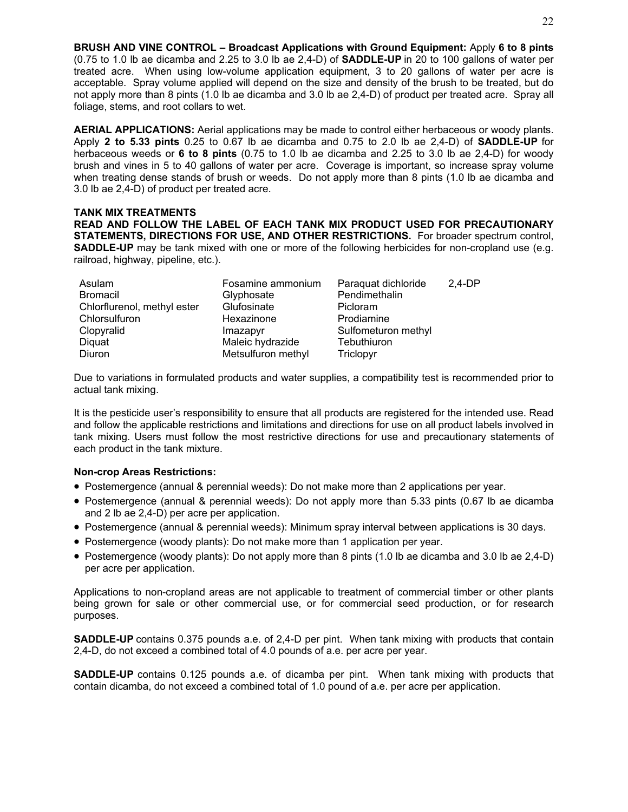**BRUSH AND VINE CONTROL – Broadcast Applications with Ground Equipment:** Apply **6 to 8 pints** (0.75 to 1.0 lb ae dicamba and 2.25 to 3.0 lb ae 2,4-D) of **SADDLE-UP** in 20 to 100 gallons of water per treated acre. When using low-volume application equipment, 3 to 20 gallons of water per acre is acceptable. Spray volume applied will depend on the size and density of the brush to be treated, but do not apply more than 8 pints (1.0 lb ae dicamba and 3.0 lb ae 2,4-D) of product per treated acre. Spray all foliage, stems, and root collars to wet.

**AERIAL APPLICATIONS:** Aerial applications may be made to control either herbaceous or woody plants. Apply **2 to 5.33 pints** 0.25 to 0.67 lb ae dicamba and 0.75 to 2.0 lb ae 2,4-D) of **SADDLE-UP** for herbaceous weeds or **6 to 8 pints** (0.75 to 1.0 lb ae dicamba and 2.25 to 3.0 lb ae 2,4-D) for woody brush and vines in 5 to 40 gallons of water per acre. Coverage is important, so increase spray volume when treating dense stands of brush or weeds. Do not apply more than 8 pints (1.0 lb ae dicamba and 3.0 lb ae 2,4-D) of product per treated acre.

#### **TANK MIX TREATMENTS READ AND FOLLOW THE LABEL OF EACH TANK MIX PRODUCT USED FOR PRECAUTIONARY STATEMENTS, DIRECTIONS FOR USE, AND OTHER RESTRICTIONS.** For broader spectrum control, **SADDLE-UP** may be tank mixed with one or more of the following herbicides for non-cropland use (e.g. railroad, highway, pipeline, etc.).

| Asulam                      | Fosamine ammonium  | Paraquat dichloride | $2.4-DP$ |
|-----------------------------|--------------------|---------------------|----------|
| <b>Bromacil</b>             | Glyphosate         | Pendimethalin       |          |
| Chlorflurenol, methyl ester | Glufosinate        | Picloram            |          |
| Chlorsulfuron               | Hexazinone         | Prodiamine          |          |
| Clopyralid                  | Imazapyr           | Sulfometuron methyl |          |
| Diquat                      | Maleic hydrazide   | Tebuthiuron         |          |
| Diuron                      | Metsulfuron methyl | Triclopyr           |          |

Due to variations in formulated products and water supplies, a compatibility test is recommended prior to actual tank mixing.

It is the pesticide user's responsibility to ensure that all products are registered for the intended use. Read and follow the applicable restrictions and limitations and directions for use on all product labels involved in tank mixing. Users must follow the most restrictive directions for use and precautionary statements of each product in the tank mixture.

#### **Non-crop Areas Restrictions:**

- Postemergence (annual & perennial weeds): Do not make more than 2 applications per year.
- Postemergence (annual & perennial weeds): Do not apply more than 5.33 pints (0.67 lb ae dicamba and 2 lb ae 2,4-D) per acre per application.
- Postemergence (annual & perennial weeds): Minimum spray interval between applications is 30 days.
- Postemergence (woody plants): Do not make more than 1 application per year.
- Postemergence (woody plants): Do not apply more than 8 pints (1.0 lb ae dicamba and 3.0 lb ae 2,4-D) per acre per application.

Applications to non-cropland areas are not applicable to treatment of commercial timber or other plants being grown for sale or other commercial use, or for commercial seed production, or for research purposes.

**SADDLE-UP** contains 0.375 pounds a.e. of 2,4-D per pint. When tank mixing with products that contain 2,4-D, do not exceed a combined total of 4.0 pounds of a.e. per acre per year.

**SADDLE-UP** contains 0.125 pounds a.e. of dicamba per pint. When tank mixing with products that contain dicamba, do not exceed a combined total of 1.0 pound of a.e. per acre per application.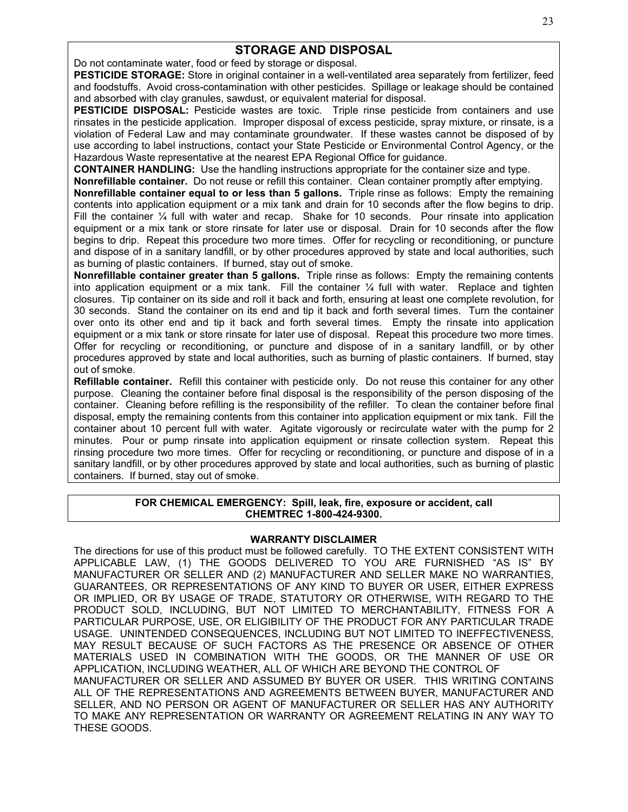## **STORAGE AND DISPOSAL**

Do not contaminate water, food or feed by storage or disposal.

**PESTICIDE STORAGE:** Store in original container in a well-ventilated area separately from fertilizer, feed and foodstuffs. Avoid cross-contamination with other pesticides. Spillage or leakage should be contained and absorbed with clay granules, sawdust, or equivalent material for disposal.

**PESTICIDE DISPOSAL:** Pesticide wastes are toxic. Triple rinse pesticide from containers and use rinsates in the pesticide application. Improper disposal of excess pesticide, spray mixture, or rinsate, is a violation of Federal Law and may contaminate groundwater. If these wastes cannot be disposed of by use according to label instructions, contact your State Pesticide or Environmental Control Agency, or the Hazardous Waste representative at the nearest EPA Regional Office for guidance.

**CONTAINER HANDLING:** Use the handling instructions appropriate for the container size and type.

**Nonrefillable container.** Do not reuse or refill this container. Clean container promptly after emptying. **Nonrefillable container equal to or less than 5 gallons.** Triple rinse as follows: Empty the remaining contents into application equipment or a mix tank and drain for 10 seconds after the flow begins to drip. Fill the container 1/4 full with water and recap. Shake for 10 seconds. Pour rinsate into application equipment or a mix tank or store rinsate for later use or disposal. Drain for 10 seconds after the flow begins to drip. Repeat this procedure two more times. Offer for recycling or reconditioning, or puncture

and dispose of in a sanitary landfill, or by other procedures approved by state and local authorities, such

as burning of plastic containers. If burned, stay out of smoke. **Nonrefillable container greater than 5 gallons.** Triple rinse as follows: Empty the remaining contents into application equipment or a mix tank. Fill the container ¼ full with water. Replace and tighten closures. Tip container on its side and roll it back and forth, ensuring at least one complete revolution, for 30 seconds. Stand the container on its end and tip it back and forth several times. Turn the container over onto its other end and tip it back and forth several times. Empty the rinsate into application equipment or a mix tank or store rinsate for later use of disposal. Repeat this procedure two more times. Offer for recycling or reconditioning, or puncture and dispose of in a sanitary landfill, or by other procedures approved by state and local authorities, such as burning of plastic containers. If burned, stay out of smoke.

**Refillable container.** Refill this container with pesticide only. Do not reuse this container for any other purpose. Cleaning the container before final disposal is the responsibility of the person disposing of the container. Cleaning before refilling is the responsibility of the refiller. To clean the container before final disposal, empty the remaining contents from this container into application equipment or mix tank. Fill the container about 10 percent full with water. Agitate vigorously or recirculate water with the pump for 2 minutes. Pour or pump rinsate into application equipment or rinsate collection system. Repeat this rinsing procedure two more times. Offer for recycling or reconditioning, or puncture and dispose of in a sanitary landfill, or by other procedures approved by state and local authorities, such as burning of plastic containers. If burned, stay out of smoke.

#### **FOR CHEMICAL EMERGENCY: Spill, leak, fire, exposure or accident, call CHEMTREC 1-800-424-9300.**

#### **WARRANTY DISCLAIMER**

The directions for use of this product must be followed carefully. TO THE EXTENT CONSISTENT WITH APPLICABLE LAW, (1) THE GOODS DELIVERED TO YOU ARE FURNISHED "AS IS" BY MANUFACTURER OR SELLER AND (2) MANUFACTURER AND SELLER MAKE NO WARRANTIES, GUARANTEES, OR REPRESENTATIONS OF ANY KIND TO BUYER OR USER, EITHER EXPRESS OR IMPLIED, OR BY USAGE OF TRADE, STATUTORY OR OTHERWISE, WITH REGARD TO THE PRODUCT SOLD, INCLUDING, BUT NOT LIMITED TO MERCHANTABILITY, FITNESS FOR A PARTICULAR PURPOSE, USE, OR ELIGIBILITY OF THE PRODUCT FOR ANY PARTICULAR TRADE USAGE. UNINTENDED CONSEQUENCES, INCLUDING BUT NOT LIMITED TO INEFFECTIVENESS, MAY RESULT BECAUSE OF SUCH FACTORS AS THE PRESENCE OR ABSENCE OF OTHER MATERIALS USED IN COMBINATION WITH THE GOODS, OR THE MANNER OF USE OR APPLICATION, INCLUDING WEATHER, ALL OF WHICH ARE BEYOND THE CONTROL OF MANUFACTURER OR SELLER AND ASSUMED BY BUYER OR USER. THIS WRITING CONTAINS ALL OF THE REPRESENTATIONS AND AGREEMENTS BETWEEN BUYER, MANUFACTURER AND SELLER, AND NO PERSON OR AGENT OF MANUFACTURER OR SELLER HAS ANY AUTHORITY TO MAKE ANY REPRESENTATION OR WARRANTY OR AGREEMENT RELATING IN ANY WAY TO THESE GOODS.